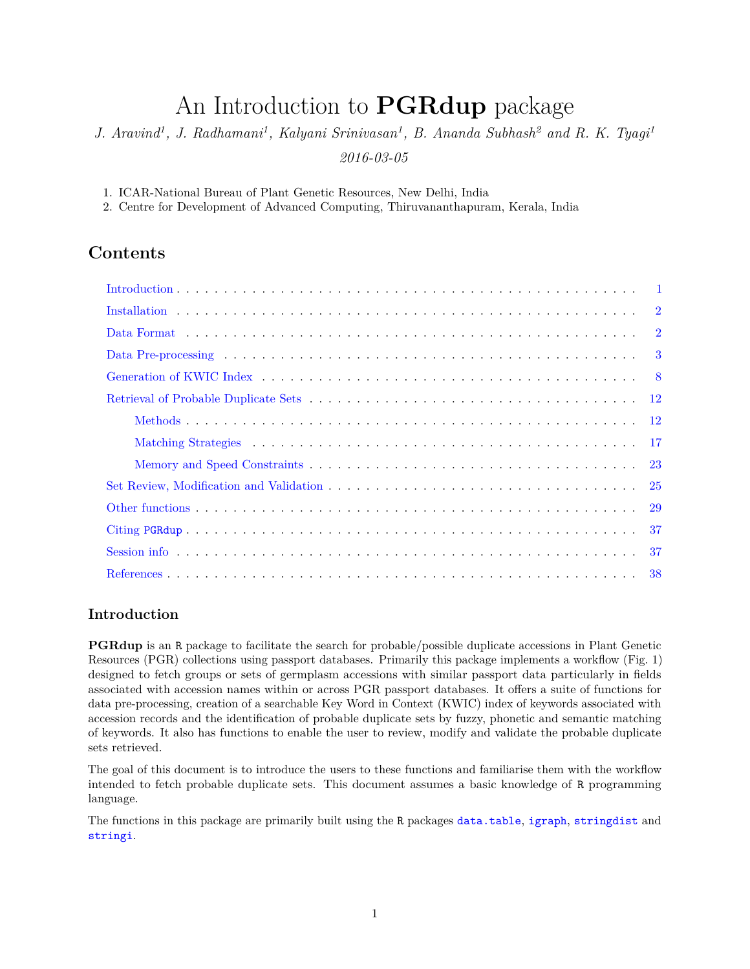# An Introduction to **PGRdup** package

*J. Aravind<sup>1</sup> , J. Radhamani<sup>1</sup> , Kalyani Srinivasan<sup>1</sup> , B. Ananda Subhash<sup>2</sup> and R. K. Tyagi<sup>1</sup> 2016-03-05*

1. ICAR-National Bureau of Plant Genetic Resources, New Delhi, India

2. Centre for Development of Advanced Computing, Thiruvananthapuram, Kerala, India

# **Contents**

#### <span id="page-0-0"></span>**Introduction**

**PGRdup** is an R package to facilitate the search for probable/possible duplicate accessions in Plant Genetic Resources (PGR) collections using passport databases. Primarily this package implements a workflow (Fig. 1) designed to fetch groups or sets of germplasm accessions with similar passport data particularly in fields associated with accession names within or across PGR passport databases. It offers a suite of functions for data pre-processing, creation of a searchable Key Word in Context (KWIC) index of keywords associated with accession records and the identification of probable duplicate sets by fuzzy, phonetic and semantic matching of keywords. It also has functions to enable the user to review, modify and validate the probable duplicate sets retrieved.

The goal of this document is to introduce the users to these functions and familiarise them with the workflow intended to fetch probable duplicate sets. This document assumes a basic knowledge of R programming language.

The functions in this package are primarily built using the R packages [data.table](http://cran.r-project.org/web/packages/data.table/index.html), [igraph](http://cran.r-project.org/web/packages/igraph/index.html), [stringdist](http://cran.r-project.org/web/packages/stringdist/index.html) and [stringi](http://cran.r-project.org/web/packages/stringi/index.html).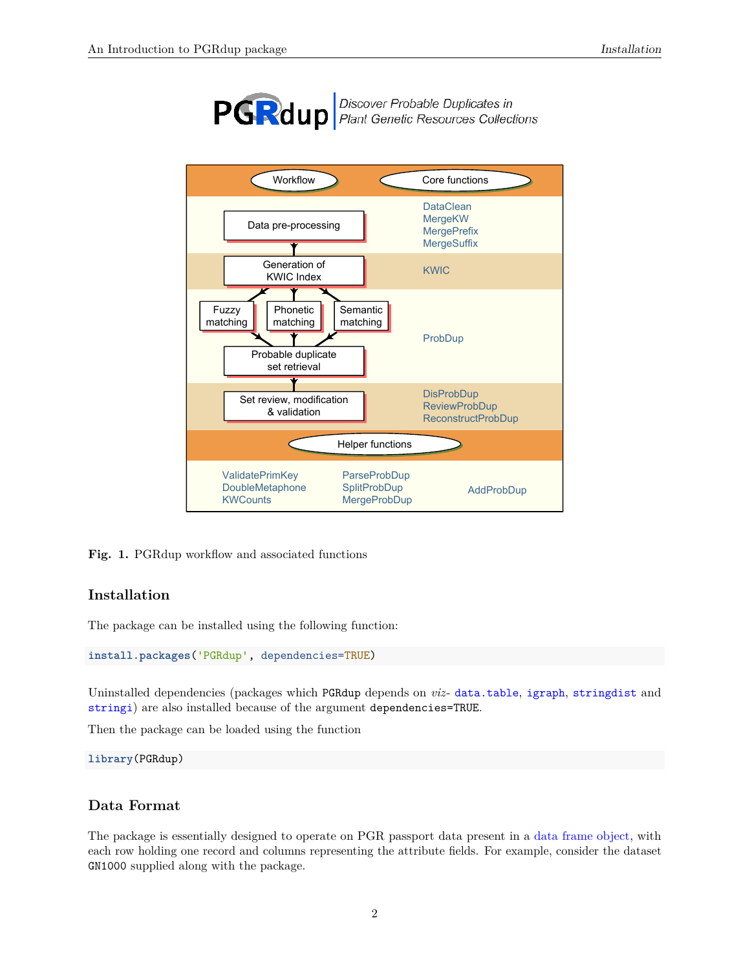

**PGRdup** *Discover Probable Duplicates in*<br>*Plant Genetic Resources Collections* 



**Fig. 1.** PGRdup workflow and associated functions

### <span id="page-1-0"></span>**Installation**

The package can be installed using the following function:

```
install.packages('PGRdup', dependencies=TRUE)
```
Uninstalled dependencies (packages which PGRdup depends on *viz*- [data.table](http://cran.r-project.org/web/packages/data.table/index.html), [igraph](http://cran.r-project.org/web/packages/igraph/index.html), [stringdist](http://cran.r-project.org/web/packages/stringdist/index.html) and [stringi](http://cran.r-project.org/web/packages/stringi/index.html)) are also installed because of the argument dependencies=TRUE.

Then the package can be loaded using the function

**library**(PGRdup)

#### <span id="page-1-1"></span>**Data Format**

The package is essentially designed to operate on PGR passport data present in a [data frame object,](http://google.com/#q={[}R{]}+data.frame) with each row holding one record and columns representing the attribute fields. For example, consider the dataset GN1000 supplied along with the package.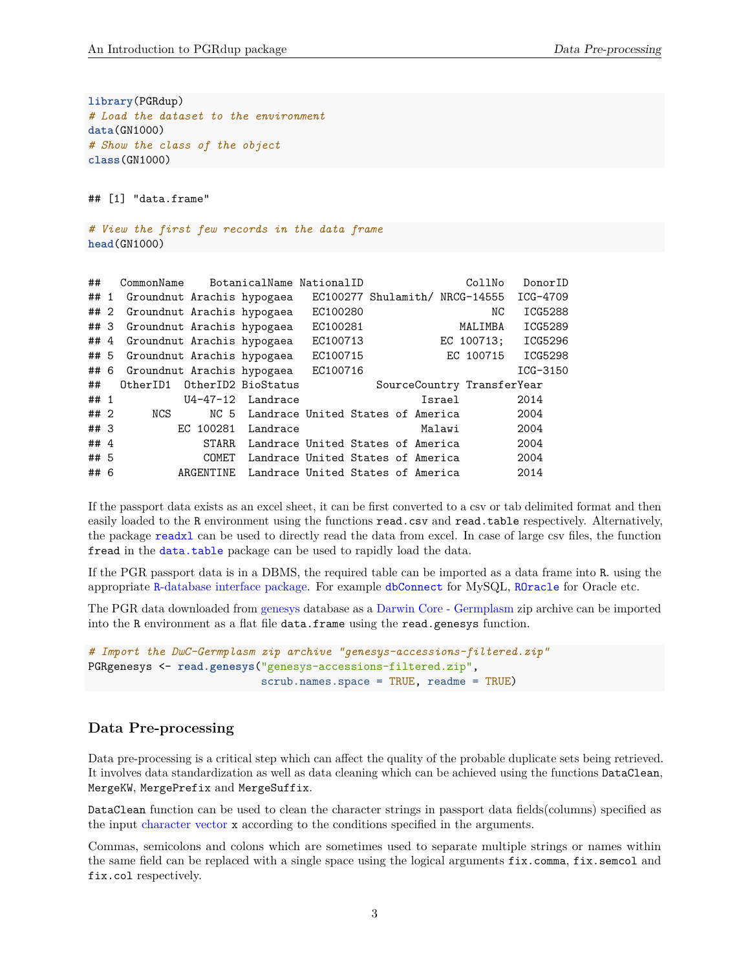**library**(PGRdup) *# Load the dataset to the environment* **data**(GN1000) *# Show the class of the object* **class**(GN1000)

## [1] "data.frame"

*# View the first few records in the data frame* **head**(GN1000)

| ##     | CommonName                      |              | BotanicalName NationalID          |          |  | CollNo                         | DonorID  |
|--------|---------------------------------|--------------|-----------------------------------|----------|--|--------------------------------|----------|
| ## 1   | Groundnut Arachis hypogaea      |              |                                   |          |  | EC100277 Shulamith/ NRCG-14555 | ICG-4709 |
|        | ## 2 Groundnut Arachis hypogaea |              |                                   | EC100280 |  | NC                             | ICG5288  |
|        | ## 3 Groundnut Arachis hypogaea |              |                                   | EC100281 |  | MALIMBA                        | ICG5289  |
|        | ## 4 Groundnut Arachis hypogaea |              |                                   | EC100713 |  | EC 100713;                     | ICG5296  |
|        | ## 5 Groundnut Arachis hypogaea |              |                                   | EC100715 |  | EC 100715                      | ICG5298  |
|        | ## 6 Groundnut Arachis hypogaea |              |                                   | EC100716 |  |                                | ICG-3150 |
| ##     | OtherID1 OtherID2 BioStatus     |              |                                   |          |  | SourceCountry TransferYear     |          |
| ## 1   |                                 |              | $U4-47-12$ Landrace               |          |  | Israel                         | 2014     |
| ## 2   | NCS                             | NC 5         | Landrace United States of America |          |  |                                | 2004     |
| ##3    |                                 | EC 100281    | Landrace                          |          |  | Malawi                         | 2004     |
| ## $4$ |                                 | <b>STARR</b> | Landrace United States of America |          |  |                                | 2004     |
| ## 5   |                                 | COMET        | Landrace United States of America |          |  |                                | 2004     |
| ## 6   |                                 | ARGENTINE    | Landrace United States of America |          |  |                                | 2014     |

If the passport data exists as an excel sheet, it can be first converted to a csv or tab delimited format and then easily loaded to the R environment using the functions read.csv and read.table respectively. Alternatively, the package [readxl](http://cran.r-project.org/web/packages/readxl/index.html) can be used to directly read the data from excel. In case of large csv files, the function fread in the [data.table](http://cran.r-project.org/web/packages/data.table/index.html) package can be used to rapidly load the data.

If the PGR passport data is in a DBMS, the required table can be imported as a data frame into R. using the appropriate R[-database interface package.](http://www.burns-stat.com/r-database-interfaces/) For example [dbConnect](http://cran.r-project.org/web/packages/dbConnect/index.html) for MySQL, [ROracle](http://cran.r-project.org/web/packages/ROracle/index.html) for Oracle etc.

The PGR data downloaded from [genesys](https://www.genesys-pgr.org/welcome) database as a [Darwin Core - Germplasm](https://github.com/dagendresen/darwincore-germplasm) zip archive can be imported into the R environment as a flat file data.frame using the read.genesys function.

```
# Import the DwC-Germplasm zip archive "genesys-accessions-filtered.zip"
PGRgenesys <- read.genesys("genesys-accessions-filtered.zip",
                           scrub.names.space = TRUE, readme = TRUE)
```
#### <span id="page-2-0"></span>**Data Pre-processing**

Data pre-processing is a critical step which can affect the quality of the probable duplicate sets being retrieved. It involves data standardization as well as data cleaning which can be achieved using the functions DataClean, MergeKW, MergePrefix and MergeSuffix.

DataClean function can be used to clean the character strings in passport data fields(columns) specified as the input [character vector](http://google.com/#q={[}R{]}+character+vector) x according to the conditions specified in the arguments.

Commas, semicolons and colons which are sometimes used to separate multiple strings or names within the same field can be replaced with a single space using the logical arguments  $fixcommand$ .  $fix$ .semcol and fix.col respectively.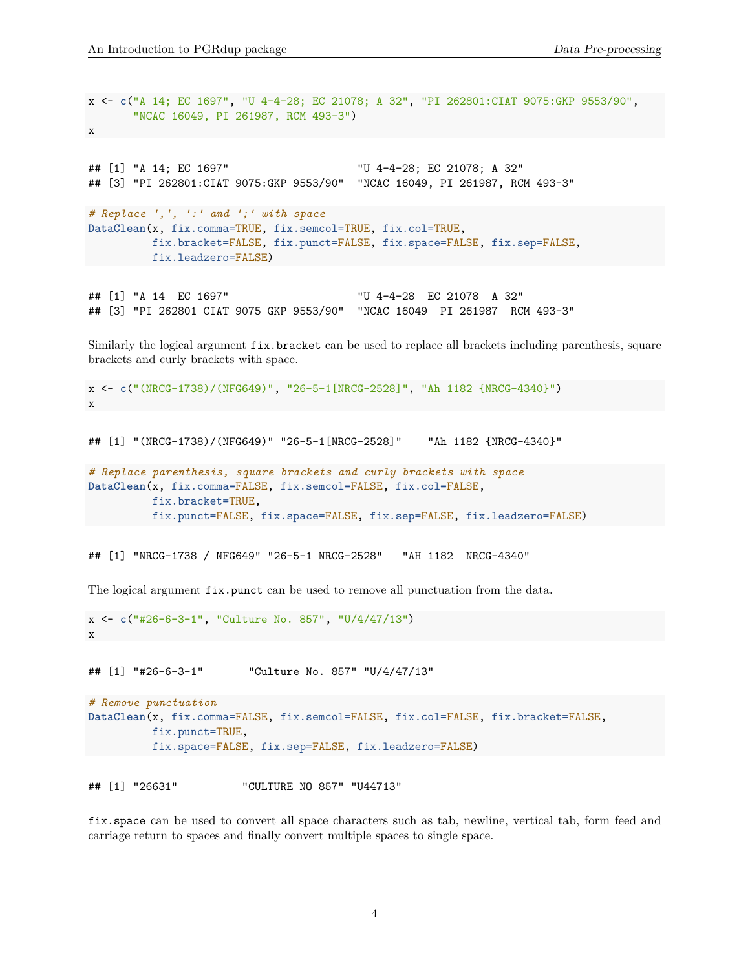x <- **c**("A 14; EC 1697", "U 4-4-28; EC 21078; A 32", "PI 262801:CIAT 9075:GKP 9553/90", "NCAC 16049, PI 261987, RCM 493-3") x ## [1] "A 14; EC 1697" "U 4-4-28; EC 21078; A 32" ## [3] "PI 262801:CIAT 9075:GKP 9553/90" "NCAC 16049, PI 261987, RCM 493-3" *# Replace ',', ':' and ';' with space* **DataClean**(x, fix.comma=TRUE, fix.semcol=TRUE, fix.col=TRUE, fix.bracket=FALSE, fix.punct=FALSE, fix.space=FALSE, fix.sep=FALSE, fix.leadzero=FALSE)

## [1] "A 14 EC 1697" "U 4-4-28 EC 21078 A 32" ## [3] "PI 262801 CIAT 9075 GKP 9553/90" "NCAC 16049 PI 261987 RCM 493-3"

Similarly the logical argument fix.bracket can be used to replace all brackets including parenthesis, square brackets and curly brackets with space.

```
x <- c("(NRCG-1738)/(NFG649)", "26-5-1[NRCG-2528]", "Ah 1182 {NRCG-4340}")
x
```
## [1] "(NRCG-1738)/(NFG649)" "26-5-1[NRCG-2528]" "Ah 1182 {NRCG-4340}"

```
# Replace parenthesis, square brackets and curly brackets with space
DataClean(x, fix.comma=FALSE, fix.semcol=FALSE, fix.col=FALSE,
          fix.bracket=TRUE,
          fix.punct=FALSE, fix.space=FALSE, fix.sep=FALSE, fix.leadzero=FALSE)
```
## [1] "NRCG-1738 / NFG649" "26-5-1 NRCG-2528" "AH 1182 NRCG-4340"

The logical argument  $fix$ , punct can be used to remove all punctuation from the data.

```
x <- c("#26-6-3-1", "Culture No. 857", "U/4/47/13")
x
```
## [1] "#26-6-3-1" "Culture No. 857" "U/4/47/13"

```
# Remove punctuation
DataClean(x, fix.comma=FALSE, fix.semcol=FALSE, fix.col=FALSE, fix.bracket=FALSE,
          fix.punct=TRUE,
          fix.space=FALSE, fix.sep=FALSE, fix.leadzero=FALSE)
```
## [1] "26631" "CULTURE NO 857" "U44713"

fix.space can be used to convert all space characters such as tab, newline, vertical tab, form feed and carriage return to spaces and finally convert multiple spaces to single space.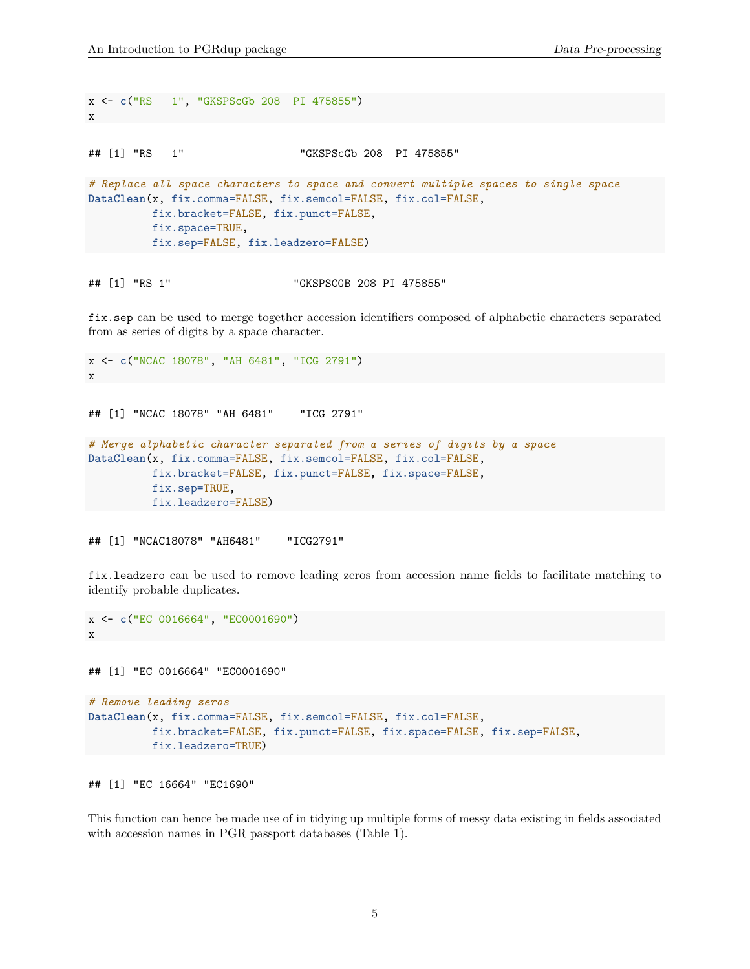```
x <- c("RS 1", "GKSPScGb 208 PI 475855")
x
## [1] "RS 1" "GKSPScGb 208 PI 475855"
# Replace all space characters to space and convert multiple spaces to single space
DataClean(x, fix.comma=FALSE, fix.semcol=FALSE, fix.col=FALSE,
         fix.bracket=FALSE, fix.punct=FALSE,
         fix.space=TRUE,
         fix.sep=FALSE, fix.leadzero=FALSE)
```
## [1] "RS 1" "GKSPSCGB 208 PI 475855"

fix.sep can be used to merge together accession identifiers composed of alphabetic characters separated from as series of digits by a space character.

```
x <- c("NCAC 18078", "AH 6481", "ICG 2791")
x
## [1] "NCAC 18078" "AH 6481" "ICG 2791"
# Merge alphabetic character separated from a series of digits by a space
DataClean(x, fix.comma=FALSE, fix.semcol=FALSE, fix.col=FALSE,
          fix.bracket=FALSE, fix.punct=FALSE, fix.space=FALSE,
         fix.sep=TRUE,
         fix.leadzero=FALSE)
```

```
## [1] "NCAC18078" "AH6481" "ICG2791"
```
fix.leadzero can be used to remove leading zeros from accession name fields to facilitate matching to identify probable duplicates.

```
x <- c("EC 0016664", "EC0001690")
x
```
## [1] "EC 0016664" "EC0001690"

```
# Remove leading zeros
DataClean(x, fix.comma=FALSE, fix.semcol=FALSE, fix.col=FALSE,
          fix.bracket=FALSE, fix.punct=FALSE, fix.space=FALSE, fix.sep=FALSE,
          fix.leadzero=TRUE)
```

```
## [1] "EC 16664" "EC1690"
```
This function can hence be made use of in tidying up multiple forms of messy data existing in fields associated with accession names in PGR passport databases (Table 1).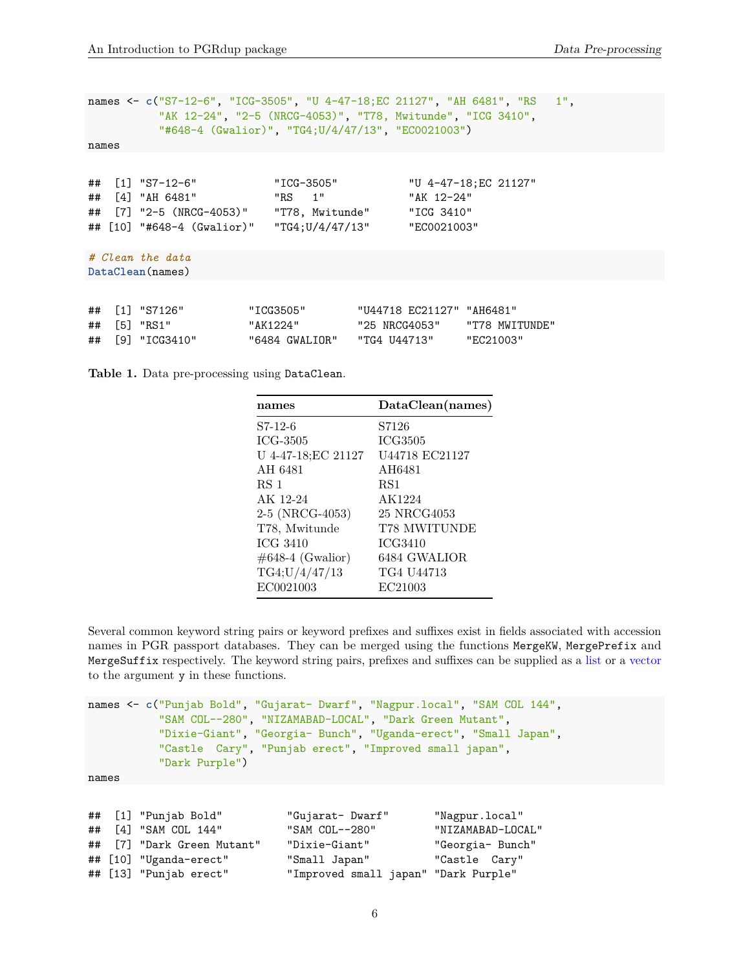```
names <- c("S7-12-6", "ICG-3505", "U 4-47-18;EC 21127", "AH 6481", "RS 1",
         "AK 12-24", "2-5 (NRCG-4053)", "T78, Mwitunde", "ICG 3410",
         "#648-4 (Gwalior)", "TG4;U/4/47/13", "EC0021003")
names
## [1] "S7-12-6" "ICG-3505" "U 4-47-18;EC 21127"
## [4] "AH 6481" "RS 1" "AK 12-24"
## [7] "2-5 (NRCG-4053)" "T78, Mwitunde" "ICG 3410"
## [10] "#648-4 (Gwalior)" "TG4;U/4/47/13" "EC0021003"
# Clean the data
DataClean(names)
```

|  | ## [1] "S7126"   | "ICG3505"      | "U44718 EC21127" "AH6481" |                |
|--|------------------|----------------|---------------------------|----------------|
|  | $\#$ # [5] "RS1" | "AK1224"       | "25 NRCG4053"             | "T78 MWITUNDE" |
|  | ## [9] "ICG3410" | "6484 GWALIOR" | "TG4 U44713"              | "EC21003"      |

**Table 1.** Data pre-processing using DataClean.

| names               | DataClean(names) |
|---------------------|------------------|
| S7-12-6             | S7126            |
| ICG-3505            | <b>ICG3505</b>   |
| U 4-47-18;EC 21127  | U44718 EC21127   |
| AH 6481             | AH6481           |
| RS 1                | RS <sub>1</sub>  |
| AK 12-24            | AK1224           |
| 2-5 (NRCG-4053)     | 25 NRCG4053      |
| T78, Mwitunde       | T78 MWITUNDE     |
| ICG 3410            | ICG3410          |
| $\#648-4$ (Gwalior) | 6484 GWALIOR     |
| TG4;U/4/47/13       | TG4 U44713       |
| EC0021003           | EC21003          |

Several common keyword string pairs or keyword prefixes and suffixes exist in fields associated with accession names in PGR passport databases. They can be merged using the functions MergeKW, MergePrefix and MergeSuffix respectively. The keyword string pairs, prefixes and suffixes can be supplied as a [list](http://google.com/#q={[}R{]}+list) or a [vector](http://google.com/#q={[}R{]}+vector) to the argument y in these functions.

```
names <- c("Punjab Bold", "Gujarat- Dwarf", "Nagpur.local", "SAM COL 144",
           "SAM COL--280", "NIZAMABAD-LOCAL", "Dark Green Mutant",
           "Dixie-Giant", "Georgia- Bunch", "Uganda-erect", "Small Japan",
           "Castle Cary", "Punjab erect", "Improved small japan",
           "Dark Purple")
```
names

```
## [1] "Punjab Bold" "Gujarat- Dwarf" "Nagpur.local"
## [4] "SAM COL 144" "SAM COL--280" "NIZAMABAD-LOCAL"
## [7] "Dark Green Mutant" "Dixie-Giant" "Georgia- Bunch"
## [10] "Uganda-erect" "Small Japan" "Castle Cary"
## [13] "Punjab erect" "Improved small japan" "Dark Purple"
```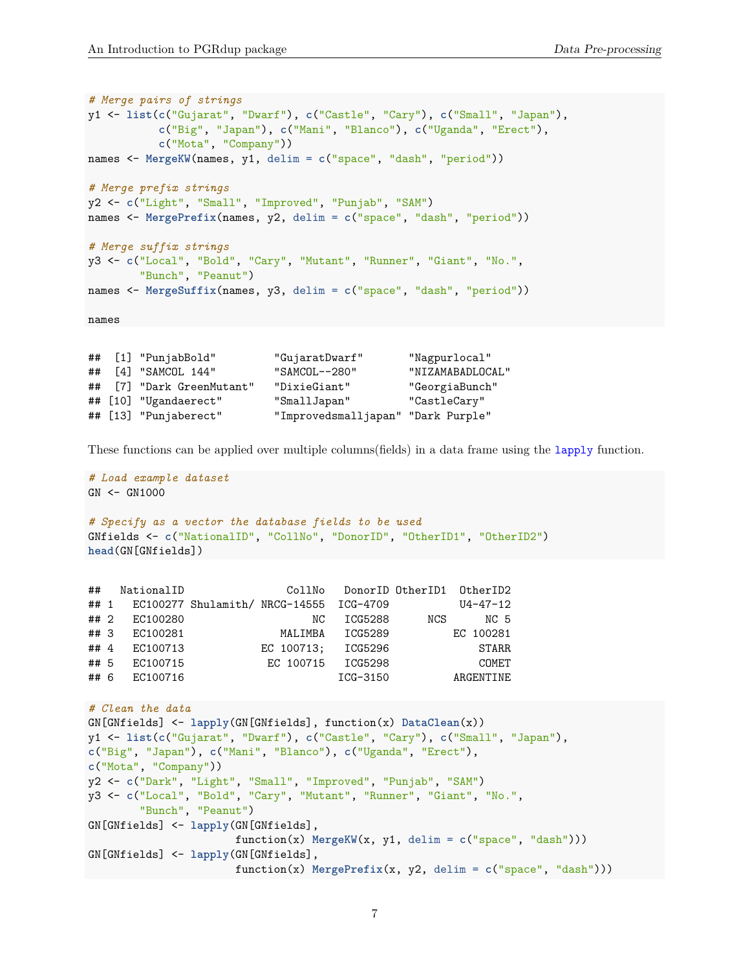```
# Merge pairs of strings
y1 <- list(c("Gujarat", "Dwarf"), c("Castle", "Cary"), c("Small", "Japan"),
           c("Big", "Japan"), c("Mani", "Blanco"), c("Uganda", "Erect"),
           c("Mota", "Company"))
names <- MergeKW(names, y1, delim = c("space", "dash", "period"))
# Merge prefix strings
y2 <- c("Light", "Small", "Improved", "Punjab", "SAM")
names <- MergePrefix(names, y2, delim = c("space", "dash", "period"))
# Merge suffix strings
y3 <- c("Local", "Bold", "Cary", "Mutant", "Runner", "Giant", "No.",
        "Bunch", "Peanut")
names <- MergeSuffix(names, y3, delim = c("space", "dash", "period"))
```
names

```
## [1] "PunjabBold" "GujaratDwarf" "Nagpurlocal"
## [4] "SAMCOL 144" "SAMCOL--280" "NIZAMABADLOCAL"
## [7] "Dark GreenMutant" "DixieGiant" "GeorgiaBunch"
## [10] "Ugandaerect" "SmallJapan" "CastleCary"
## [13] "Punjaberect" "Improvedsmalljapan" "Dark Purple"
```
These functions can be applied over multiple columns(fields) in a data frame using the [lapply](http://google.com/#q={[}R{]}+lapply) function.

```
# Load example dataset
GN < - GN1000# Specify as a vector the database fields to be used
GNfields <- c("NationalID", "CollNo", "DonorID", "OtherID1", "OtherID2")
head(GN[GNfields])
## NationalID CollNo DonorID OtherID1 OtherID2
## 1 EC100277 Shulamith/ NRCG-14555 ICG-4709 U4-47-12
## 2 EC100280 NC ICG5288 NCS NC 5
## 3 EC100281 MALIMBA ICG5289 EC 100281
## 4 EC100713 EC 100713; ICG5296 STARR
## 5 EC100715 EC 100715 ICG5298 COMET
## 6 EC100716 ICG-3150 ARGENTINE
# Clean the data
GN[GNfields] <- lapply(GN[GNfields], function(x) DataClean(x))
y1 <- list(c("Gujarat", "Dwarf"), c("Castle", "Cary"), c("Small", "Japan"),
c("Big", "Japan"), c("Mani", "Blanco"), c("Uganda", "Erect"),
c("Mota", "Company"))
y2 <- c("Dark", "Light", "Small", "Improved", "Punjab", "SAM")
y3 <- c("Local", "Bold", "Cary", "Mutant", "Runner", "Giant", "No.",
      "Bunch", "Peanut")
GN[GNfields] <- lapply(GN[GNfields],
                   function(x) MergeKW(x, y1, delim = c("space", "dash")))
GN[GNfields] <- lapply(GN[GNfields],
                   function(x) MergePrefix(x, y2, delim = c("space", "dash")))
```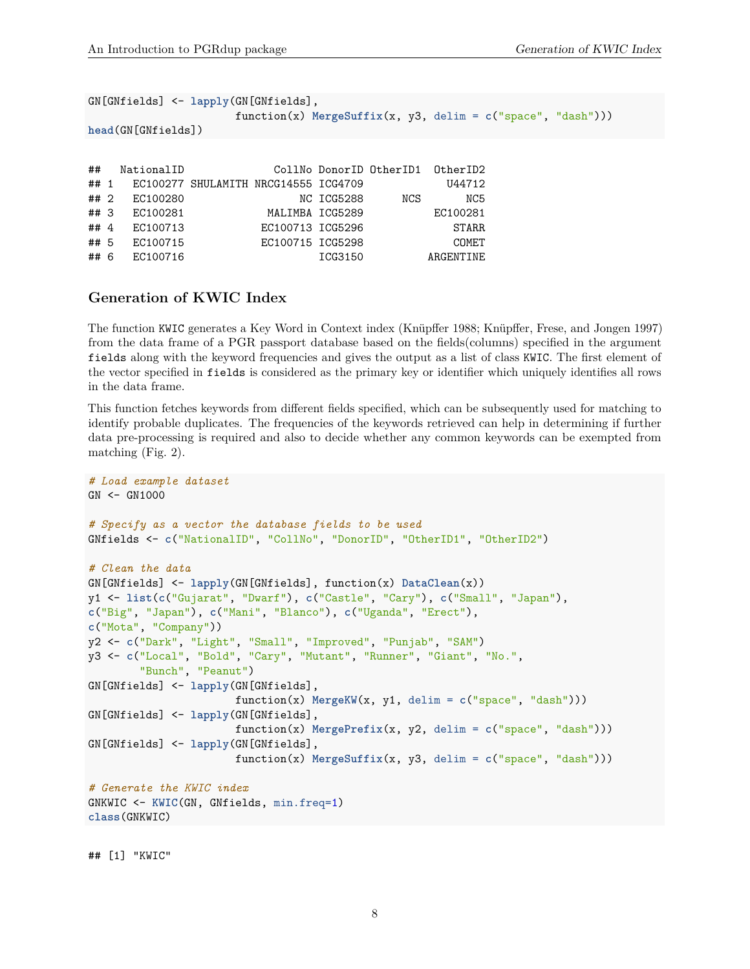```
GN[GNfields] <- lapply(GN[GNfields],
                function(x) MergeSuffix(x, y3, delim = c("space", "dash")))
head(GN[GNfields])
## NationalID CollNo DonorID OtherID1 OtherID2
## 1 EC100277 SHULAMITH NRCG14555 ICG4709 U44712
## 2 EC100280 NC ICG5288 NCS NC5
## 3 EC100281 MALIMBA ICG5289 EC100281
## 4 EC100713 EC100713 ICG5296 STARR
## 5 EC100715 EC100715 ICG5298 COMET
## 6 EC100716 ICG3150 ARGENTINE
```
#### <span id="page-7-0"></span>**Generation of KWIC Index**

The function KWIC generates a Key Word in Context index (Knüpffer 1988; Knüpffer, Frese, and Jongen 1997) from the data frame of a PGR passport database based on the fields(columns) specified in the argument fields along with the keyword frequencies and gives the output as a list of class KWIC. The first element of the vector specified in fields is considered as the primary key or identifier which uniquely identifies all rows in the data frame.

This function fetches keywords from different fields specified, which can be subsequently used for matching to identify probable duplicates. The frequencies of the keywords retrieved can help in determining if further data pre-processing is required and also to decide whether any common keywords can be exempted from matching (Fig. 2).

```
# Load example dataset
GN <- GN1000
# Specify as a vector the database fields to be used
GNfields <- c("NationalID", "CollNo", "DonorID", "OtherID1", "OtherID2")
# Clean the data
GN[GNfields] <- lapply(GN[GNfields], function(x) DataClean(x))
y1 <- list(c("Gujarat", "Dwarf"), c("Castle", "Cary"), c("Small", "Japan"),
c("Big", "Japan"), c("Mani", "Blanco"), c("Uganda", "Erect"),
c("Mota", "Company"))
y2 <- c("Dark", "Light", "Small", "Improved", "Punjab", "SAM")
y3 <- c("Local", "Bold", "Cary", "Mutant", "Runner", "Giant", "No.",
        "Bunch", "Peanut")
GN[GNfields] <- lapply(GN[GNfields],
                       function(x) MergeKW(x, y1, delim = c("space", "dash")))
GN[GNfields] <- lapply(GN[GNfields],
                       function(x) MergePrefix(x, y2, delim = c("space", "dash")))
GN[GNfields] <- lapply(GN[GNfields],
                       function(x) MergeSuffix(x, y3, delim = c("space", "dash")))
# Generate the KWIC index
GNKWIC <- KWIC(GN, GNfields, min.freq=1)
class(GNKWIC)
```
## [1] "KWIC"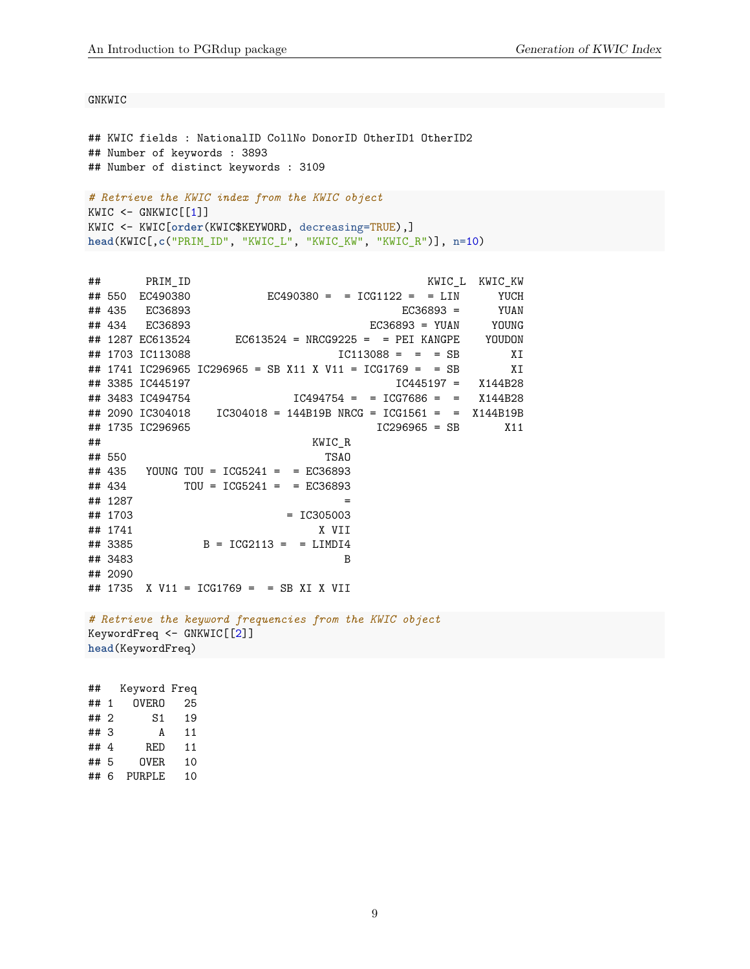GNKWIC

```
## KWIC fields : NationalID CollNo DonorID OtherID1 OtherID2
## Number of keywords : 3893
## Number of distinct keywords : 3109
# Retrieve the KWIC index from the KWIC object
KWIC \leftarrow GNKWIC[[1]]KWIC <- KWIC[order(KWIC$KEYWORD, decreasing=TRUE),]
head(KWIC[,c("PRIM_ID", "KWIC_L", "KWIC_KW", "KWIC_R")], n=10)
```

```
## PRIM_ID KWIC_L KWIC_KW
## 550 EC490380 EC490380 = = ICG1122 = = LIN YUCH
## 435 EC36893 EC36893 = YUAN
## 434 EC36893 EC36893 = YUAN YOUNG
## 1287 EC613524 EC613524 = NRCG9225 = = PEI KANGPE YOUDON
## 1703 IC113088 IC113088 = = = SB XI
## 1741 IC296965 IC296965 = SB X11 X V11 = ICG1769 = = SB XI
## 3385 IC445197 IC445197 = X144B28
## 3483 IC494754 IC494754 = = ICG7686 = = X144B28
## 2090 IC304018 IC304018 = 144B19B NRCG = ICG1561 = = X144B19B
## 1735 IC296965 IC296965 = SB X11
## KWIC_R
## 550 TSAO
## 435 YOUNG TOU = ICG5241 = = EC36893
## 434 TOU = ICG5241 = = EC36893
## 1287 =
## 1703 = IC305003
## 1741 X VII
## 3385 B = ICG2113 = = LIMDI4
## 3483 B
## 2090
## 1735 X V11 = ICG1769 = = SB XI X VII
```

```
# Retrieve the keyword frequencies from the KWIC object
KeywordFreq <- GNKWIC[[2]]
head(KeywordFreq)
```
## Keyword Freq ## 1 OVERO 25 ## 2 S1 19 ## 3 A 11 ## 4 RED 11 ## 5 OVER 10 ## 6 PURPLE 10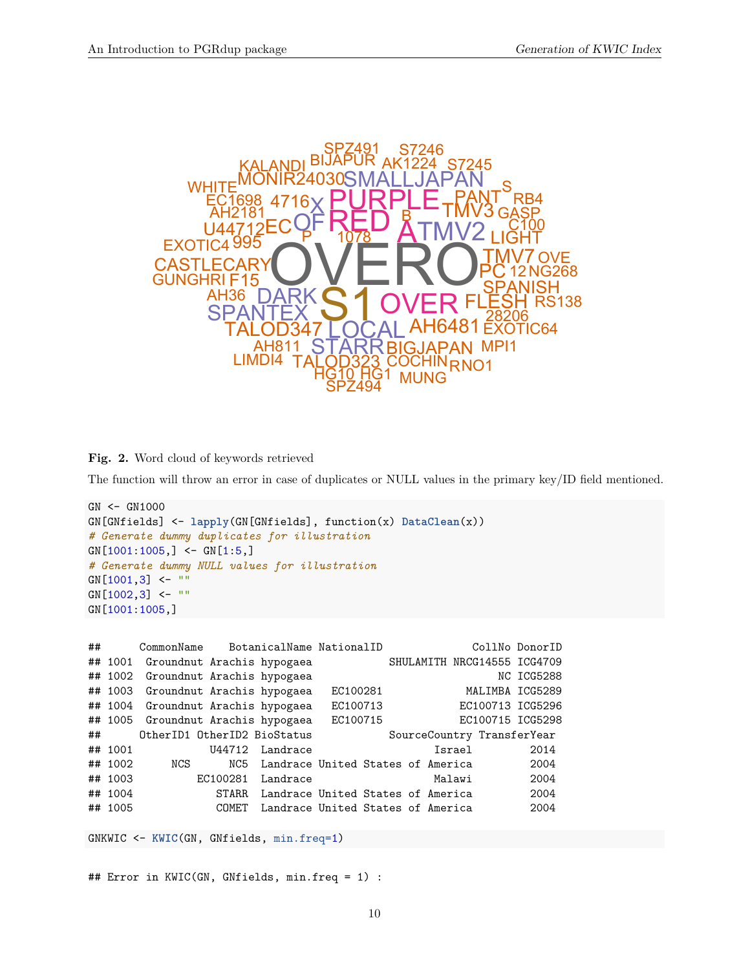

**Fig. 2.** Word cloud of keywords retrieved

The function will throw an error in case of duplicates or NULL values in the primary key/ID field mentioned.

```
GN <- GN1000
GN[GNfields] <- lapply(GN[GNfields], function(x) DataClean(x))
# Generate dummy duplicates for illustration
GN[1001:1005, ] \leftarrow GN[1:5, ]# Generate dummy NULL values for illustration
GN[1001,3] <- ""
GN[1002,3] <- ""
GN[1001:1005,]
```

| ## |         | CommonName                         |          | BotanicalName NationalID                |          |  |        | CollNo DonorID              |
|----|---------|------------------------------------|----------|-----------------------------------------|----------|--|--------|-----------------------------|
|    |         | ## 1001 Groundnut Arachis hypogaea |          |                                         |          |  |        | SHULAMITH NRCG14555 ICG4709 |
|    |         | ## 1002 Groundnut Arachis hypogaea |          |                                         |          |  |        | NC ICG5288                  |
|    |         | ## 1003 Groundnut Arachis hypogaea |          |                                         | EC100281 |  |        | MALIMBA ICG5289             |
|    |         | ## 1004 Groundnut Arachis hypogaea |          |                                         | EC100713 |  |        | EC100713 ICG5296            |
|    |         | ## 1005 Groundnut Arachis hypogaea |          |                                         | EC100715 |  |        | EC100715 ICG5298            |
|    | $\#$ #  | OtherID1 OtherID2 BioStatus        |          |                                         |          |  |        | SourceCountry TransferYear  |
|    | ## 1001 |                                    | U44712   | Landrace                                |          |  | Israel | 2014                        |
|    | ## 1002 | NCS                                |          | NC5 Landrace United States of America   |          |  |        | 2004                        |
|    | ## 1003 |                                    | EC100281 | Landrace                                |          |  | Malawi | 2004                        |
|    | ## 1004 |                                    |          | STARR Landrace United States of America |          |  |        | 2004                        |
|    | ## 1005 |                                    | COMET    | Landrace United States of America       |          |  |        | 2004                        |

GNKWIC <- **KWIC**(GN, GNfields, min.freq=1)

## Error in KWIC(GN, GNfields, min.freq = 1) :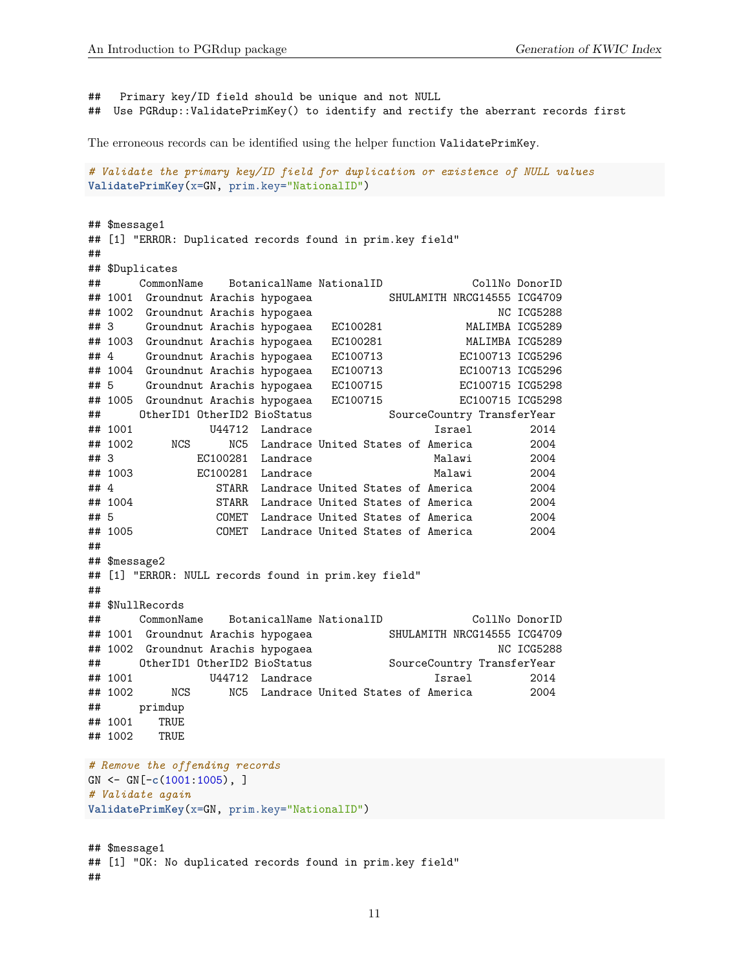##

```
## Primary key/ID field should be unique and not NULL
## Use PGRdup::ValidatePrimKey() to identify and rectify the aberrant records first
```
The erroneous records can be identified using the helper function ValidatePrimKey.

```
# Validate the primary key/ID field for duplication or existence of NULL values
ValidatePrimKey(x=GN, prim.key="NationalID")
```

```
## $message1
## [1] "ERROR: Duplicated records found in prim.key field"
##
## $Duplicates
## CommonName BotanicalName NationalID CollNo DonorID
## 1001 Groundnut Arachis hypogaea SHULAMITH NRCG14555 ICG4709
## 1002 Groundnut Arachis hypogaea NC NC ICG5288
## 3 Groundnut Arachis hypogaea EC100281 MALIMBA ICG5289
## 1003 Groundnut Arachis hypogaea EC100281 MALIMBA ICG5289
## 4 Groundnut Arachis hypogaea EC100713 EC100713 ICG5296
## 1004 Groundnut Arachis hypogaea EC100713 EC100713 ICG5296
## 5 Groundnut Arachis hypogaea EC100715 EC100715 ICG5298
## 1005 Groundnut Arachis hypogaea EC100715 EC100715 ICG5298
## OtherID1 OtherID2 BioStatus SourceCountry TransferYear
## 1001 U44712 Landrace Israel 2014
## 1002 NCS NC5 Landrace United States of America 2004
## 3 EC100281 Landrace Malawi 2004
## 1003 EC100281 Landrace Malawi 2004
## 4 STARR Landrace United States of America 2004
## 1004 STARR Landrace United States of America 2004
## 5 COMET Landrace United States of America 2004
## 1005 COMET Landrace United States of America 2004
##
## $message2
## [1] "ERROR: NULL records found in prim.key field"
##
## $NullRecords
## CommonName BotanicalName NationalID CollNo DonorID
## 1001 Groundnut Arachis hypogaea SHULAMITH NRCG14555 ICG4709
## 1002 Groundnut Arachis hypogaea NC NC ICG5288
## OtherID1 OtherID2 BioStatus SourceCountry TransferYear
## 1001 U44712 Landrace Israel 2014
## 1002 NCS NC5 Landrace United States of America 2004
## primdup
## 1001 TRUE
## 1002 TRUE
# Remove the offending records
GN <- GN[-c(1001:1005), ]
# Validate again
ValidatePrimKey(x=GN, prim.key="NationalID")
## $message1
## [1] "OK: No duplicated records found in prim.key field"
```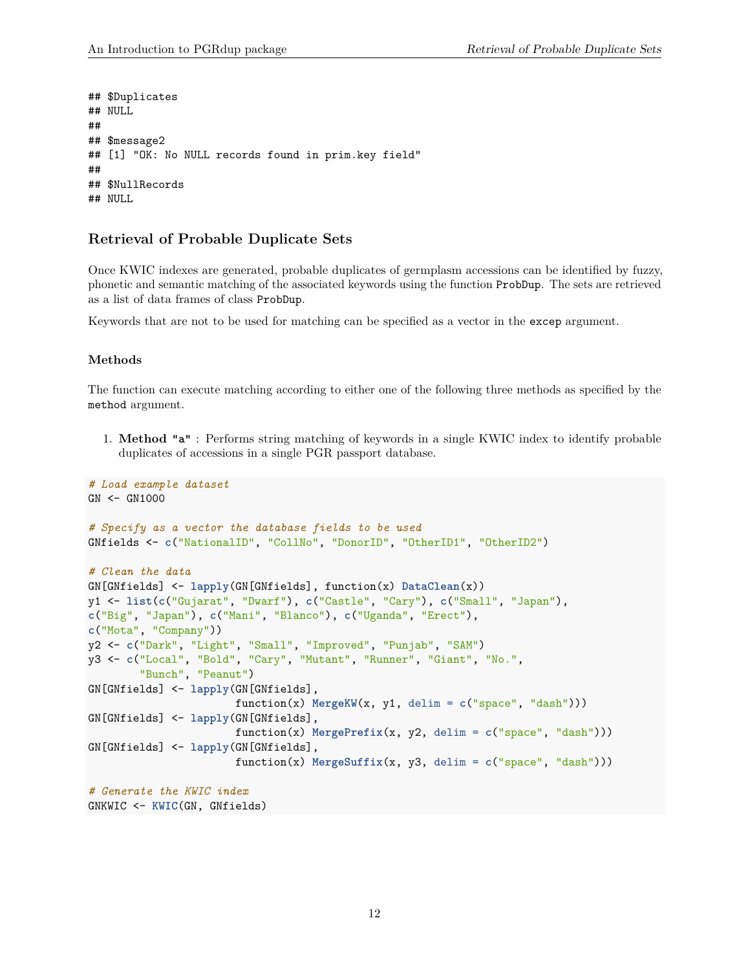```
## $Duplicates
## NULL.
##
## $message2
## [1] "OK: No NULL records found in prim.key field"
##
## $NullRecords
## NULL.
```
#### <span id="page-11-0"></span>**Retrieval of Probable Duplicate Sets**

Once KWIC indexes are generated, probable duplicates of germplasm accessions can be identified by fuzzy, phonetic and semantic matching of the associated keywords using the function ProbDup. The sets are retrieved as a list of data frames of class ProbDup.

Keywords that are not to be used for matching can be specified as a vector in the excep argument.

#### <span id="page-11-1"></span>**Methods**

The function can execute matching according to either one of the following three methods as specified by the method argument.

1. **Method "a"** : Performs string matching of keywords in a single KWIC index to identify probable duplicates of accessions in a single PGR passport database.

```
# Load example dataset
GN < - GN1000
# Specify as a vector the database fields to be used
GNfields <- c("NationalID", "CollNo", "DonorID", "OtherID1", "OtherID2")
# Clean the data
GN[GNfields] <- lapply(GN[GNfields], function(x) DataClean(x))
y1 <- list(c("Gujarat", "Dwarf"), c("Castle", "Cary"), c("Small", "Japan"),
c("Big", "Japan"), c("Mani", "Blanco"), c("Uganda", "Erect"),
c("Mota", "Company"))
y2 <- c("Dark", "Light", "Small", "Improved", "Punjab", "SAM")
y3 <- c("Local", "Bold", "Cary", "Mutant", "Runner", "Giant", "No.",
        "Bunch", "Peanut")
GN[GNfields] <- lapply(GN[GNfields],
                       function(x) MergeKW(x, y1, delim = c("space", "dash")))
GN[GNfields] <- lapply(GN[GNfields],
                       function(x) MergePrefix(x, y2, delim = c("space", "dash")))
GN[GNfields] <- lapply(GN[GNfields],
                       function(x) MergeSuffix(x, y3, delim = c("space", "dash")))
# Generate the KWIC index
GNKWIC <- KWIC(GN, GNfields)
```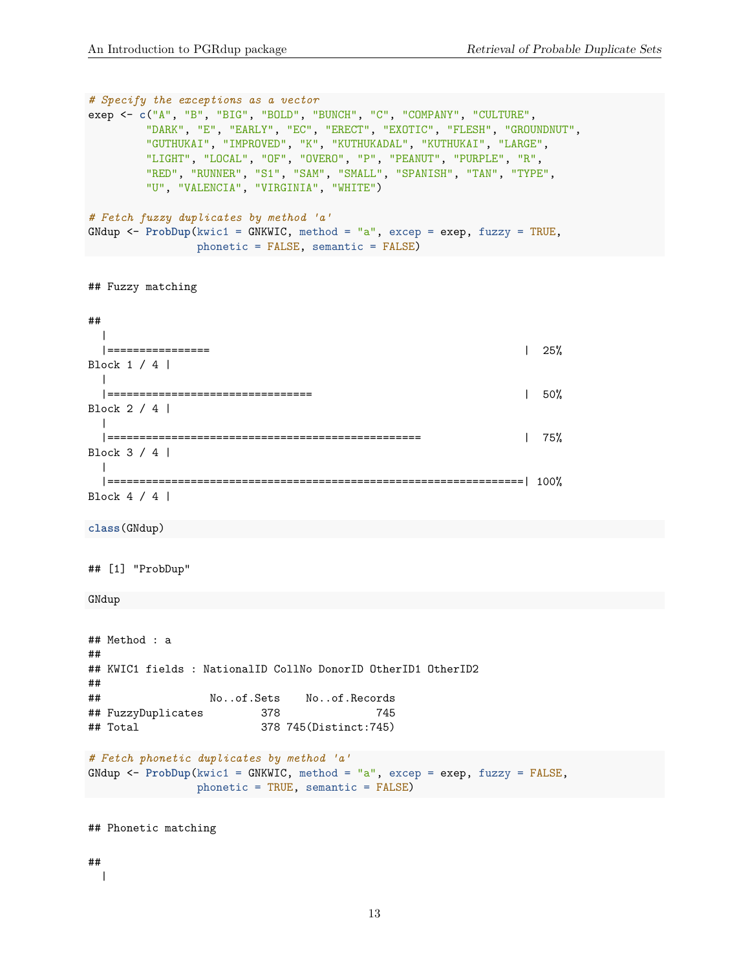```
# Specify the exceptions as a vector
exep <- c("A", "B", "BIG", "BOLD", "BUNCH", "C", "COMPANY", "CULTURE",
        "DARK", "E", "EARLY", "EC", "ERECT", "EXOTIC", "FLESH", "GROUNDNUT",
        "GUTHUKAI", "IMPROVED", "K", "KUTHUKADAL", "KUTHUKAI", "LARGE",
        "LIGHT", "LOCAL", "OF", "OVERO", "P", "PEANUT", "PURPLE", "R",
        "RED", "RUNNER", "S1", "SAM", "SMALL", "SPANISH", "TAN", "TYPE",
        "U", "VALENCIA", "VIRGINIA", "WHITE")
# Fetch fuzzy duplicates by method 'a'
GNdup <- ProbDup(kwic1 = GNKWIC, method = "a", excep = exep, fuzzy = TRUE,
               phonetic = FALSE, semantic = FALSE)
## Fuzzy matching
##
 \blacksquare|================ | 25%
Block 1 / 4 |
 \perp|================================ | 50%
Block 2 / 4 |
 \perp|================================================= | 75%
Block 3 / 4 |
 \perp|=================================================================| 100%
Block 4 / 4 |
class(GNdup)
## [1] "ProbDup"
GNdup
## Method : a
##
## KWIC1 fields : NationalID CollNo DonorID OtherID1 OtherID2
##
## No..of.Sets No..of.Records
## FuzzyDuplicates 378 745
## Total 378 745(Distinct:745)
# Fetch phonetic duplicates by method 'a'
GNdup <- ProbDup(kwic1 = GNKWIC, method = "a", excep = exep, fuzzy = FALSE,
               phonetic = TRUE, semantic = FALSE)
## Phonetic matching
```
## |

13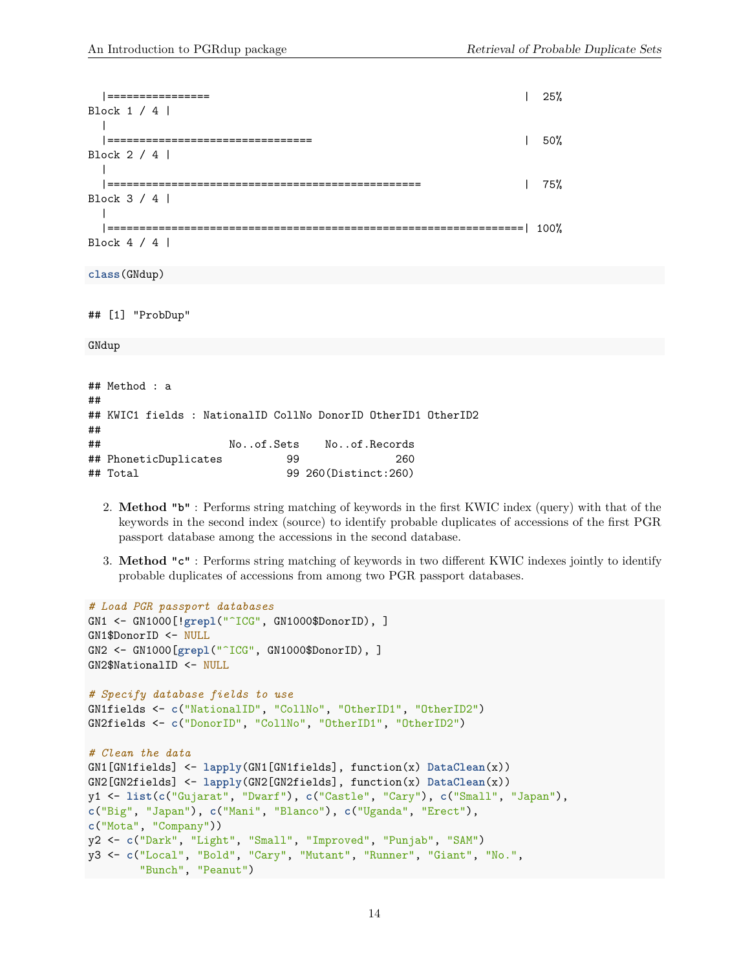| ================                                                          | $25\%$ |
|---------------------------------------------------------------------------|--------|
| Block 1 / 4                                                               |        |
| ==================================<br>Block 2 / 4                         | 50%    |
|                                                                           |        |
| Block $3 / 4$                                                             | 75%    |
| ====================                                                      |        |
| Block $4 / 4$                                                             |        |
| class(GNdup)                                                              |        |
|                                                                           |        |
| ## [1] "ProbDup"                                                          |        |
| GNdup                                                                     |        |
|                                                                           |        |
| ## Method : a                                                             |        |
| ##<br>## KWIC1 fields : NationalID CollNo DonorID OtherID1 OtherID2<br>## |        |

## No..of.Sets No..of.Records ## PhoneticDuplicates 99 260 ## Total 99 260(Distinct:260)

- 2. **Method "b"** : Performs string matching of keywords in the first KWIC index (query) with that of the keywords in the second index (source) to identify probable duplicates of accessions of the first PGR passport database among the accessions in the second database.
- 3. **Method "c"** : Performs string matching of keywords in two different KWIC indexes jointly to identify probable duplicates of accessions from among two PGR passport databases.

```
# Load PGR passport databases
GN1 <- GN1000[!grepl("^ICG", GN1000$DonorID), ]
GN1$DonorID <- NULL
GN2 <- GN1000[grepl("^ICG", GN1000$DonorID), ]
GN2$NationalID <- NULL
# Specify database fields to use
GN1fields <- c("NationalID", "CollNo", "OtherID1", "OtherID2")
GN2fields <- c("DonorID", "CollNo", "OtherID1", "OtherID2")
# Clean the data
GN1[GN1fields] <- lapply(GN1[GN1fields], function(x) DataClean(x))
GN2[GN2fields] <- lapply(GN2[GN2fields], function(x) DataClean(x))
y1 <- list(c("Gujarat", "Dwarf"), c("Castle", "Cary"), c("Small", "Japan"),
c("Big", "Japan"), c("Mani", "Blanco"), c("Uganda", "Erect"),
c("Mota", "Company"))
y2 <- c("Dark", "Light", "Small", "Improved", "Punjab", "SAM")
y3 <- c("Local", "Bold", "Cary", "Mutant", "Runner", "Giant", "No.",
        "Bunch", "Peanut")
```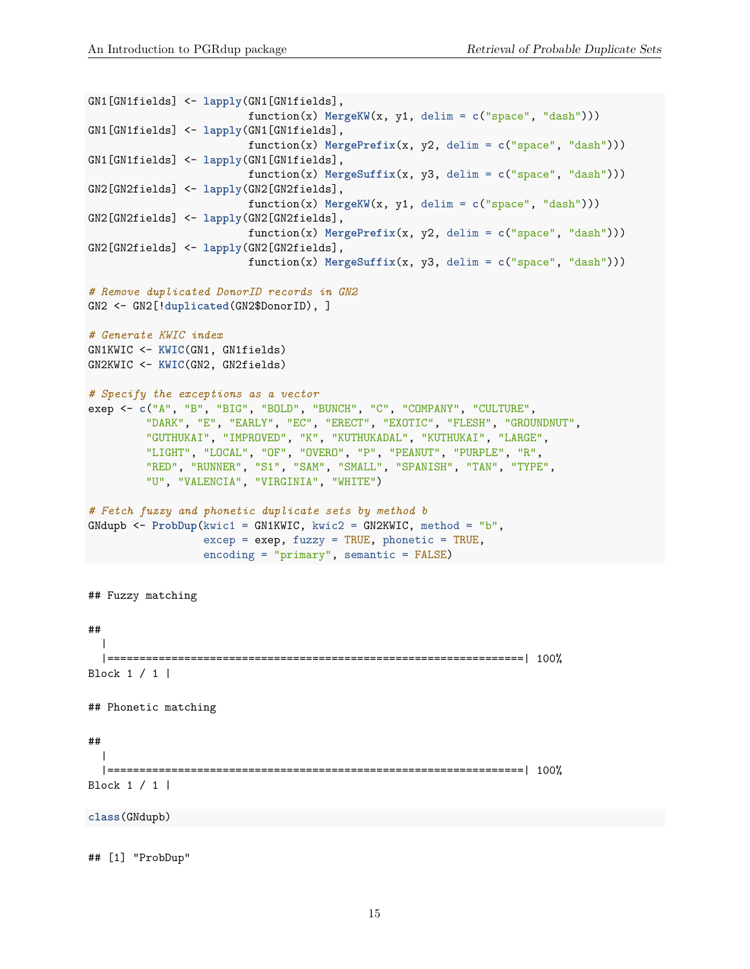```
GN1[GN1fields] <- lapply(GN1[GN1fields],
                         function(x) MergeW(x, y1, delim = c("space", "dash"))GN1[GN1fields] <- lapply(GN1[GN1fields],
                         function(x) MergePrefix(x, y2, delim = c("space", "dash"))GN1[GN1fields] <- lapply(GN1[GN1fields],
                         function(x) MergeSuffix(x, y3, delim = c("space", "dash")))
GN2[GN2fields] <- lapply(GN2[GN2fields],
                         function(x) MergeKW(x, y1, delim = c("space", "dash")))
GN2[GN2fields] <- lapply(GN2[GN2fields],
                         function(x) MergePrefix(x, y2, delim = c("space", "dash")))
GN2[GN2fields] <- lapply(GN2[GN2fields],
                         function(x) MergeSuffix(x, y3, delim = c("space", "dash")))
# Remove duplicated DonorID records in GN2
GN2 <- GN2[!duplicated(GN2$DonorID), ]
# Generate KWIC index
GN1KWIC <- KWIC(GN1, GN1fields)
GN2KWIC <- KWIC(GN2, GN2fields)
# Specify the exceptions as a vector
exep <- c("A", "B", "BIG", "BOLD", "BUNCH", "C", "COMPANY", "CULTURE",
         "DARK", "E", "EARLY", "EC", "ERECT", "EXOTIC", "FLESH", "GROUNDNUT",
         "GUTHUKAI", "IMPROVED", "K", "KUTHUKADAL", "KUTHUKAI", "LARGE",
         "LIGHT", "LOCAL", "OF", "OVERO", "P", "PEANUT", "PURPLE", "R",
         "RED", "RUNNER", "S1", "SAM", "SMALL", "SPANISH", "TAN", "TYPE",
         "U", "VALENCIA", "VIRGINIA", "WHITE")
# Fetch fuzzy and phonetic duplicate sets by method b
GNdupb <- ProbDup(kwic1 = GN1KWIC, kwic2 = GN2KWIC, method = "b",
                  excep = exep, fuzzy = TRUE, phonetic = TRUE,encoding = "primary", semantic = FALSE)
## Fuzzy matching
##
  \blacksquare|=================================================================| 100%
Block 1 / 1 |
## Phonetic matching
##
 \perp|=================================================================| 100%
Block 1 / 1 |
class(GNdupb)
```
## [1] "ProbDup"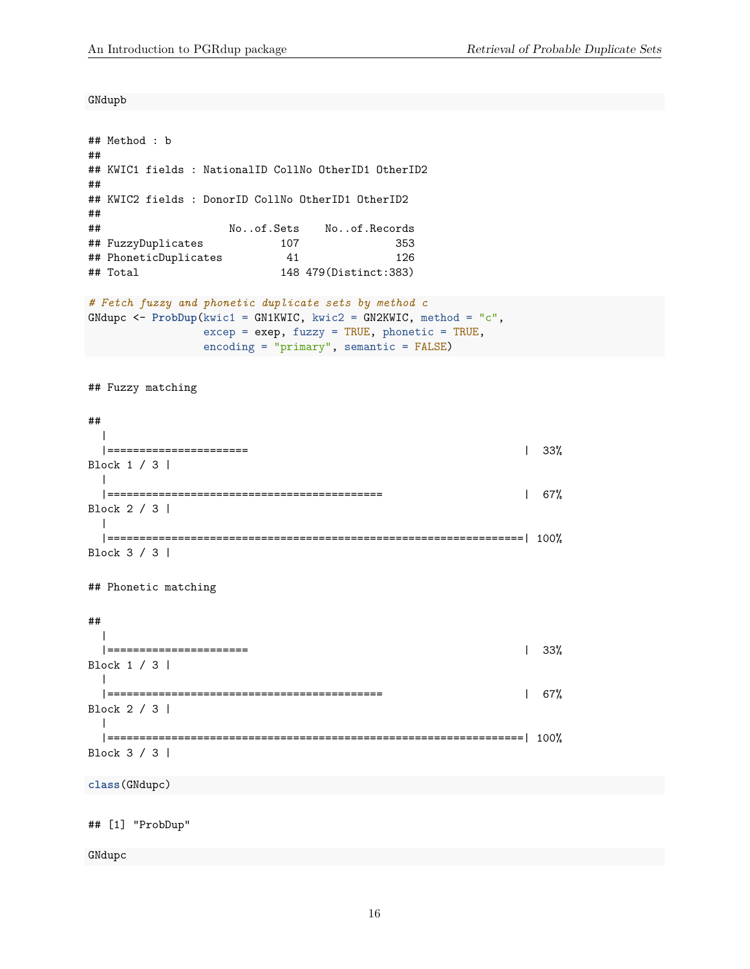GNdupb

```
## Method : b
##
## KWIC1 fields : NationalID CollNo OtherID1 OtherID2
##
## KWIC2 fields : DonorID CollNo OtherID1 OtherID2
##
## No..of.Sets No..of.Records
## FuzzyDuplicates 107 353
## PhoneticDuplicates 41 41 126
## Total 148 479(Distinct:383)
```

```
# Fetch fuzzy and phonetic duplicate sets by method c
GNdupc <- ProbDup(kwic1 = GN1KWIC, kwic2 = GN2KWIC, method = "c",
                 excep = exep, fuzzy = TRUE, phonetic = TRUE,encoding = "primary", semantic = FALSE)
```
## Fuzzy matching

#### ## | |====================== | 33% Block 1 / 3 |  $\perp$ |=========================================== | 67% Block 2 / 3 |  $\Box$ |=================================================================| 100% Block 3 / 3 |

## Phonetic matching

##

```
|
 |====================== | 33%
Block 1 / 3 |
 \blacksquare|=========================================== | 67%
Block 2 / 3 |
 \blacksquare|=================================================================| 100%
Block 3 / 3 |
```
**class**(GNdupc)

## [1] "ProbDup"

GNdupc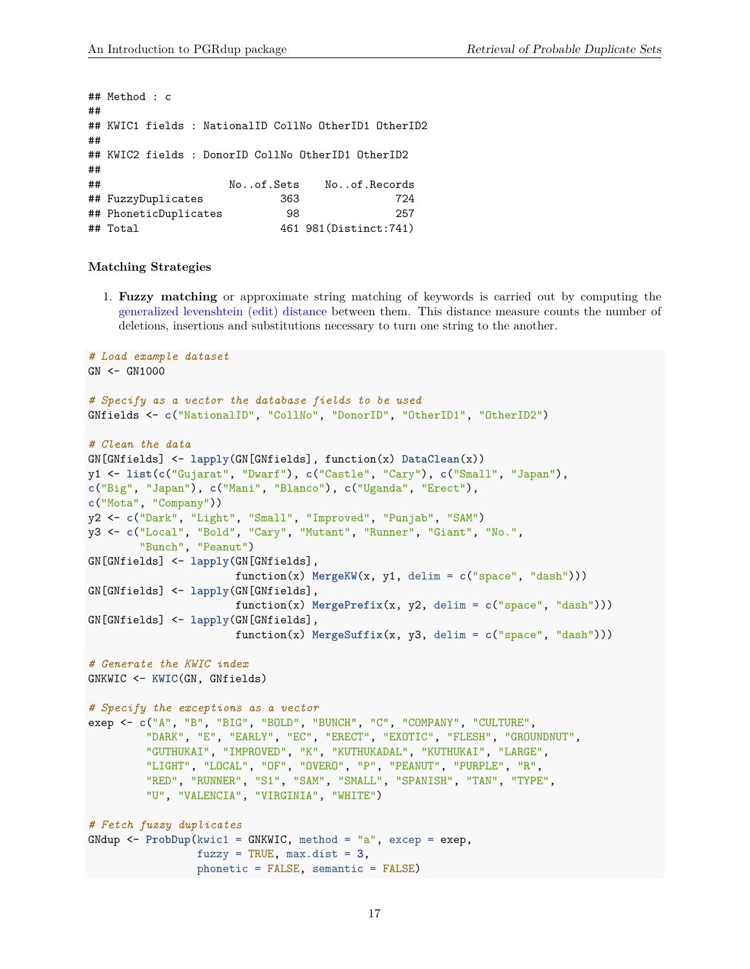## Method : c ## ## KWIC1 fields : NationalID CollNo OtherID1 OtherID2 ## ## KWIC2 fields : DonorID CollNo OtherID1 OtherID2 ## ## No..of.Sets No..of.Records ## FuzzyDuplicates 363 724 ## PhoneticDuplicates 98 257 ## Total 461 981(Distinct:741)

#### <span id="page-16-0"></span>**Matching Strategies**

1. **Fuzzy matching** or approximate string matching of keywords is carried out by computing the [generalized levenshtein \(edit\) distance](https://en.wikipedia.org/wiki/Levenshtein_distance) between them. This distance measure counts the number of deletions, insertions and substitutions necessary to turn one string to the another.

```
# Load example dataset
GN <- GN1000
# Specify as a vector the database fields to be used
GNfields <- c("NationalID", "CollNo", "DonorID", "OtherID1", "OtherID2")
# Clean the data
GN[GNfields] <- lapply(GN[GNfields], function(x) DataClean(x))
y1 <- list(c("Gujarat", "Dwarf"), c("Castle", "Cary"), c("Small", "Japan"),
c("Big", "Japan"), c("Mani", "Blanco"), c("Uganda", "Erect"),
c("Mota", "Company"))
y2 <- c("Dark", "Light", "Small", "Improved", "Punjab", "SAM")
y3 <- c("Local", "Bold", "Cary", "Mutant", "Runner", "Giant", "No.",
        "Bunch", "Peanut")
GN[GNfields] <- lapply(GN[GNfields],
                       function(x) MergeKW(x, y1, delim = c("space", "dash")))
GN[GNfields] <- lapply(GN[GNfields],
                       function(x) MergePrefix(x, y2, delim = c("space", "dash")))
GN[GNfields] <- lapply(GN[GNfields],
                       function(x) MergeSuffix(x, y3, delim = c("space", "dash")))
# Generate the KWIC index
GNKWIC <- KWIC(GN, GNfields)
# Specify the exceptions as a vector
exep <- c("A", "B", "BIG", "BOLD", "BUNCH", "C", "COMPANY", "CULTURE",
         "DARK", "E", "EARLY", "EC", "ERECT", "EXOTIC", "FLESH", "GROUNDNUT",
         "GUTHUKAI", "IMPROVED", "K", "KUTHUKADAL", "KUTHUKAI", "LARGE",
         "LIGHT", "LOCAL", "OF", "OVERO", "P", "PEANUT", "PURPLE", "R",
         "RED", "RUNNER", "S1", "SAM", "SMALL", "SPANISH", "TAN", "TYPE",
         "U", "VALENCIA", "VIRGINIA", "WHITE")
# Fetch fuzzy duplicates
GNdup <- ProbDup(kwic1 = GNKWIC, method = "a", excep = exep,
                 fuzzy = TRUE, max.dist = 3,phonetic = FALSE, semantic = FALSE)
```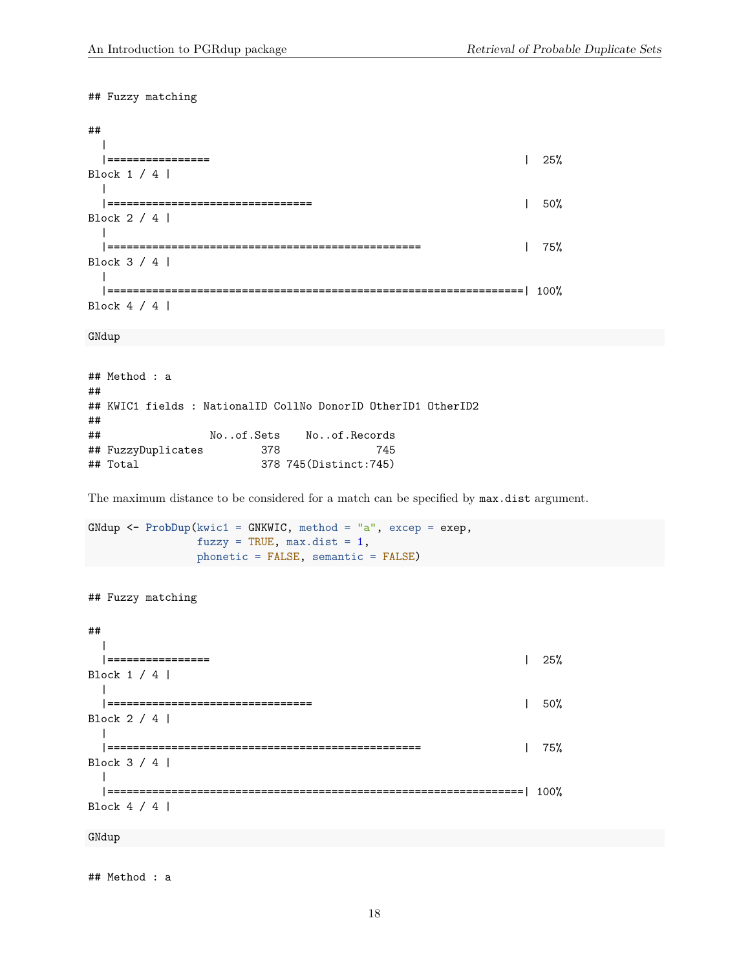## Fuzzy matching ## | |================ | 25% Block 1 / 4 |  $\perp$ |================================ | 50% Block 2 / 4 |  $\blacksquare$ |================================================= | 75% Block 3 / 4 |  $\blacksquare$ |=================================================================| 100% Block 4 / 4 |

GNdup

```
## Method : a
##
## KWIC1 fields : NationalID CollNo DonorID OtherID1 OtherID2
##
## No..of.Sets No..of.Records
## FuzzyDuplicates 378 745
## Total 378 745(Distinct:745)
```
The maximum distance to be considered for a match can be specified by max.dist argument.

```
GNdup <- ProbDup(kwic1 = GNKWIC, method = "a", excep = exep,
                 fuzzy = TRUE, max.dist = 1,phonetic = FALSE, semantic = FALSE)
```
## Fuzzy matching

```
##
 |
 |================ | 25%
Block 1 / 4 |
 \blacksquare|================================ | 50%
Block 2 / 4 |
 \blacksquare|================================================= | 75%
Block 3 / 4 |
 \perp|=================================================================| 100%
Block 4 / 4 |
GNdup
```
## Method : a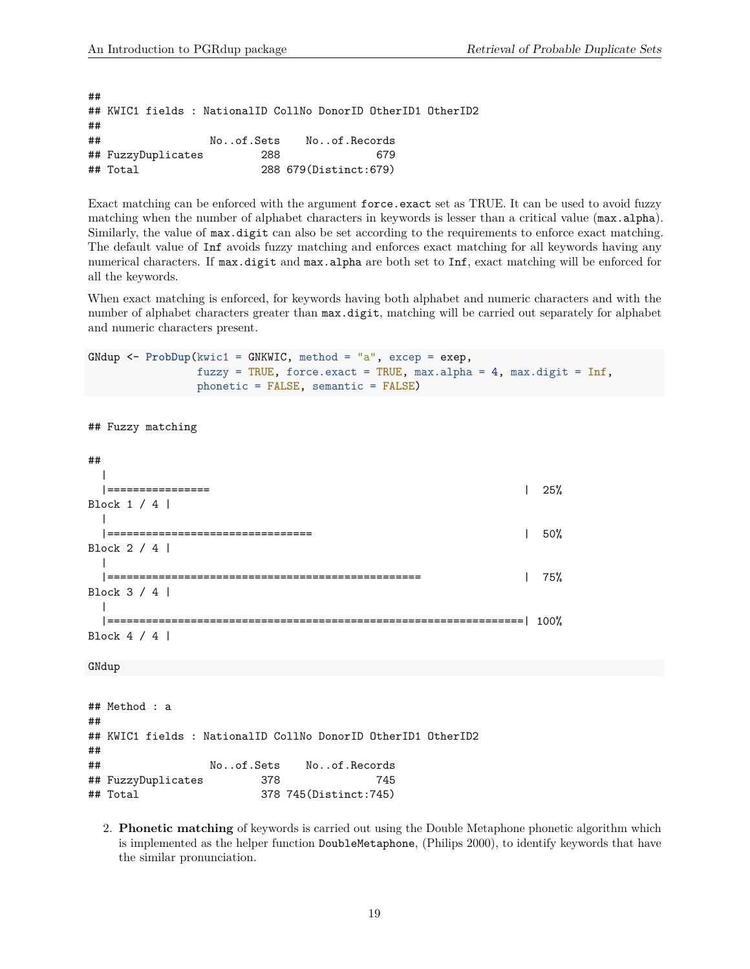## Fuzzy matching

```
##
## KWIC1 fields : NationalID CollNo DonorID OtherID1 OtherID2
##
## No..of.Sets No..of.Records
## FuzzyDuplicates 288 679
## Total 288 679(Distinct:679)
```
Exact matching can be enforced with the argument force.exact set as TRUE. It can be used to avoid fuzzy matching when the number of alphabet characters in keywords is lesser than a critical value (max.alpha). Similarly, the value of max.digit can also be set according to the requirements to enforce exact matching. The default value of Inf avoids fuzzy matching and enforces exact matching for all keywords having any numerical characters. If max.digit and max.alpha are both set to Inf, exact matching will be enforced for all the keywords.

When exact matching is enforced, for keywords having both alphabet and numeric characters and with the number of alphabet characters greater than max.digit, matching will be carried out separately for alphabet and numeric characters present.

```
GNdup <- ProbDup(kwic1 = GNKWIC, method = "a", excep = exep,
                 fuzzy = TRUE, force.exact = TRUE, max.alpha = 4, max.digit = Inf,
                 phonetic = FALSE, semantic = FALSE)
```

```
##
 |
 |================ | 25%
Block 1 / 4 |
 |
 |================================ | 50%
Block 2 / 4 |
 |
 |================================================= | 75%
Block 3 / 4 |
 \blacksquare|=================================================================| 100%
Block 4 / 4 |
GNdup
## Method : a
##
## KWIC1 fields : NationalID CollNo DonorID OtherID1 OtherID2
##
## No..of.Sets No..of.Records
## FuzzyDuplicates 378 745
## Total 378 745(Distinct:745)
```
2. **Phonetic matching** of keywords is carried out using the Double Metaphone phonetic algorithm which is implemented as the helper function DoubleMetaphone, (Philips 2000), to identify keywords that have the similar pronunciation.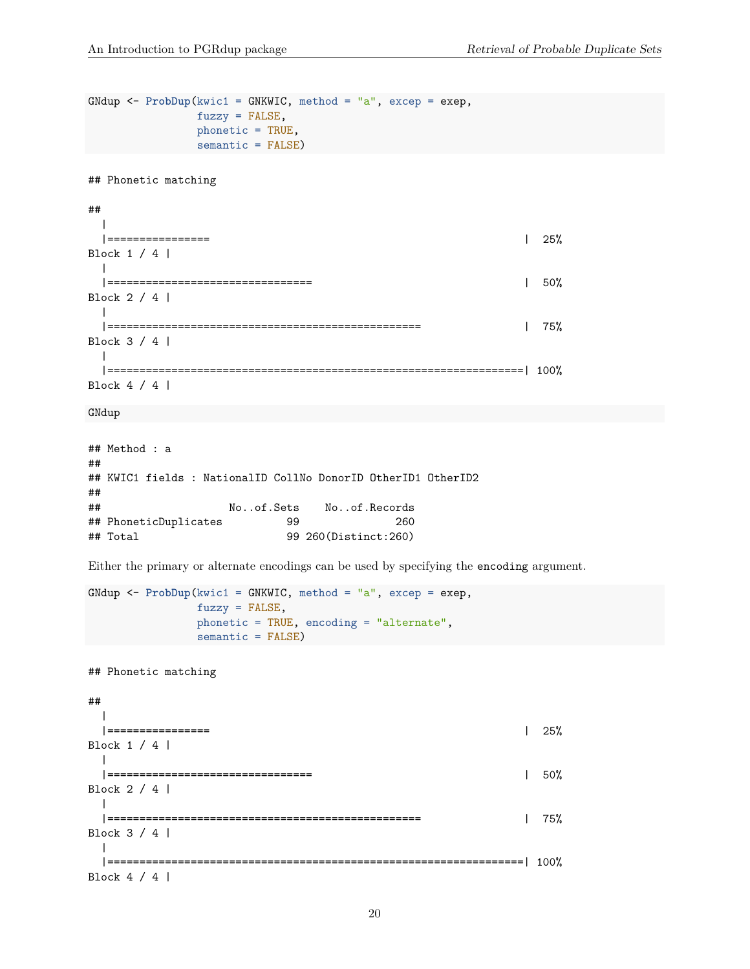```
GNdup <- ProbDup(kwic1 = GNKWIC, method = "a", excep = exep,
              fuzzy = FALSE,
              phonetic = TRUE,
              semantic = FALSE)
## Phonetic matching
##
 |
 |================ | 25%
Block 1 / 4 |
 \blacksquare|================================ | 50%
Block 2 / 4 |
 \perp|================================================= | 75%
Block 3 / 4 |
 \blacksquare|=================================================================| 100%
Block 4 / 4 |
GNdup
## Method : a
##
## KWIC1 fields : NationalID CollNo DonorID OtherID1 OtherID2
##
## No..of.Sets No..of.Records
## PhoneticDuplicates 99 260
```
Either the primary or alternate encodings can be used by specifying the encoding argument.

```
GNdup <- ProbDup(kwic1 = GNKWIC, method = "a", excep = exep,
                 fuzzy = FALSE,
                 phonetic = TRUE, encoding = "alternate",
                semantic = FALSE)
```
## Total 99 260(Distinct:260)

## Phonetic matching

## | |================ | 25% Block 1 / 4 |  $\blacksquare$ |================================ | 50% Block 2 / 4 |  $\blacksquare$ |================================================= | 75% Block 3 / 4 |  $\blacksquare$ |=================================================================| 100% Block 4 / 4 |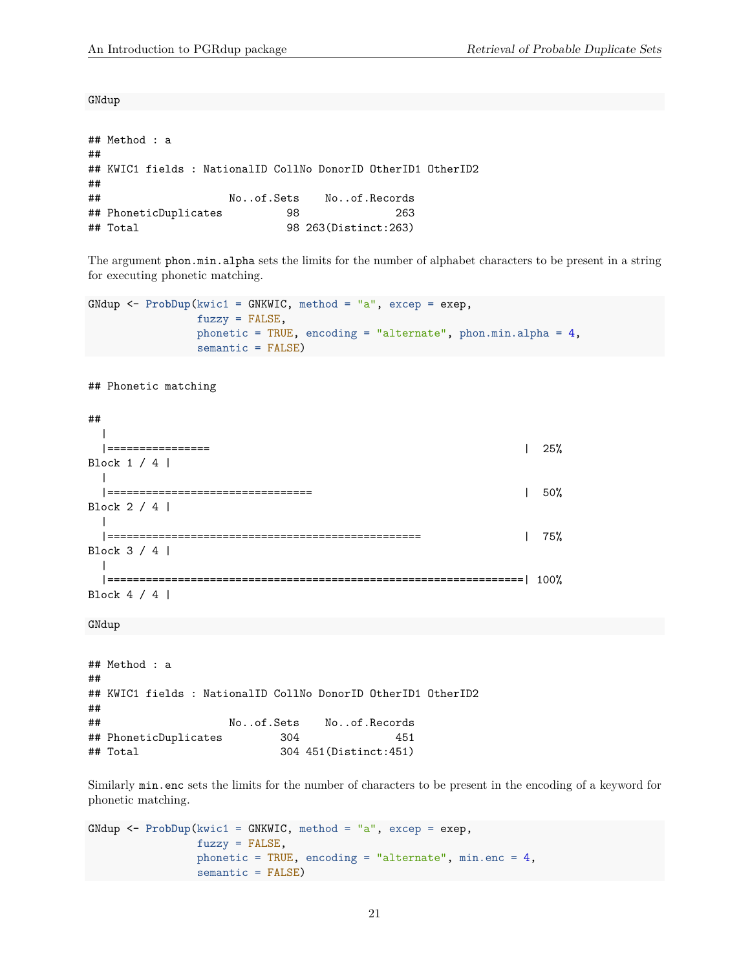GNdup

## Method : a ## ## KWIC1 fields : NationalID CollNo DonorID OtherID1 OtherID2 ## ## No..of.Sets No..of.Records ## PhoneticDuplicates 98 263 ## Total 98 263(Distinct:263)

The argument phon.min.alpha sets the limits for the number of alphabet characters to be present in a string for executing phonetic matching.

```
GNdup <- ProbDup(kwic1 = GNKWIC, method = "a", excep = exep,
                 fuzzy = FALSE,phonetic = TRUE, encoding = "alternate", phon.min.alpha = 4,
                 semantic = FALSE)
```
## Phonetic matching

```
##
 |
 |================ | 25%
Block 1 / 4 |
 \blacksquare|================================ | 50%
Block 2 / 4 |
 \blacksquare|================================================= | 75%
Block 3 / 4 |
 \blacksquare|=================================================================| 100%
Block 4 / 4 |
```
GNdup

## Method : a ## ## KWIC1 fields : NationalID CollNo DonorID OtherID1 OtherID2 ## ## No..of.Sets No..of.Records ## PhoneticDuplicates 304 451 ## Total 304 451(Distinct:451)

Similarly min.enc sets the limits for the number of characters to be present in the encoding of a keyword for phonetic matching.

```
GNdup <- ProbDup(kwic1 = GNKWIC, method = "a", excep = exep,
                 fuzzy = FALSE,
                 phonetic = TRUE, encoding = "alternate", min.enc = 4,
                 semantic = FALSE)
```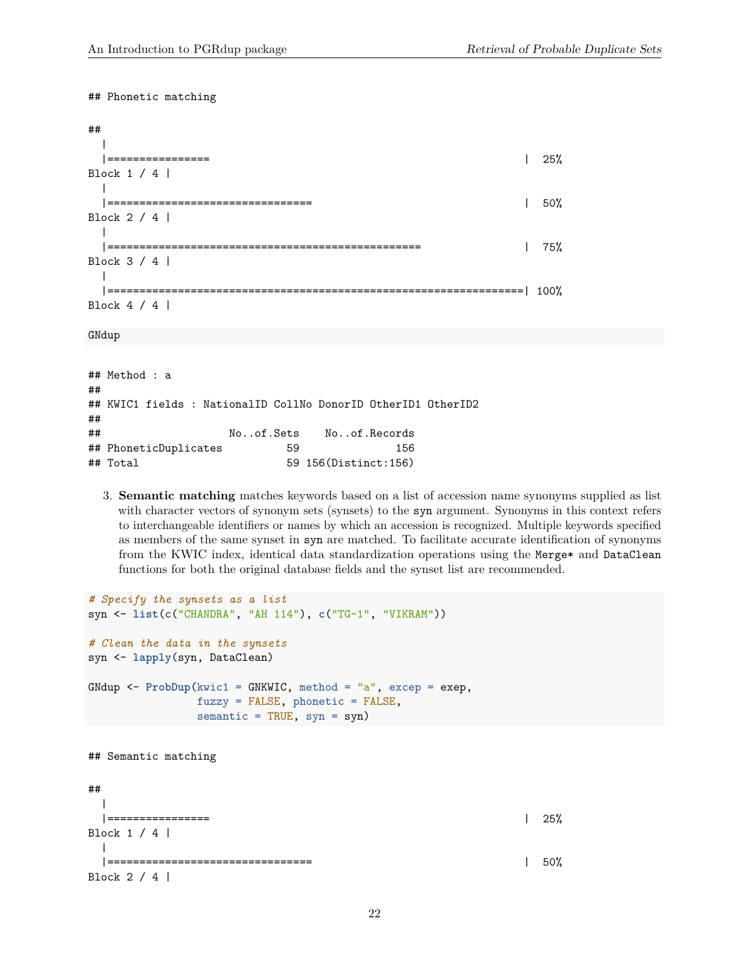## Phonetic matching

| ##                               |      |
|----------------------------------|------|
| Block 1 / 4                      | 25%  |
| Block 2 / 4                      | 50%  |
| Block 3 / 4                      | 75%  |
| =============  <br>Block $4 / 4$ | 100% |

GNdup

## Method : a ## ## KWIC1 fields : NationalID CollNo DonorID OtherID1 OtherID2 ## ## No..of.Sets No..of.Records ## PhoneticDuplicates 59 156 ## Total 59 156(Distinct:156)

3. **Semantic matching** matches keywords based on a list of accession name synonyms supplied as list with character vectors of synonym sets (synsets) to the syn argument. Synonyms in this context refers to interchangeable identifiers or names by which an accession is recognized. Multiple keywords specified as members of the same synset in syn are matched. To facilitate accurate identification of synonyms from the KWIC index, identical data standardization operations using the Merge\* and DataClean functions for both the original database fields and the synset list are recommended.

```
# Specify the synsets as a list
syn <- list(c("CHANDRA", "AH 114"), c("TG-1", "VIKRAM"))
# Clean the data in the synsets
syn <- lapply(syn, DataClean)
GNdup <- ProbDup(kwic1 = GNKWIC, method = "a", excep = exep,
              fuzzy = FALSE, phonetic = FALSE,
              semantic = TRUE, syn = syn)
## Semantic matching
##
  |
 |================ | 25%
Block 1 / 4 |
 |
 |================================ | 50%
Block 2 / 4 |
```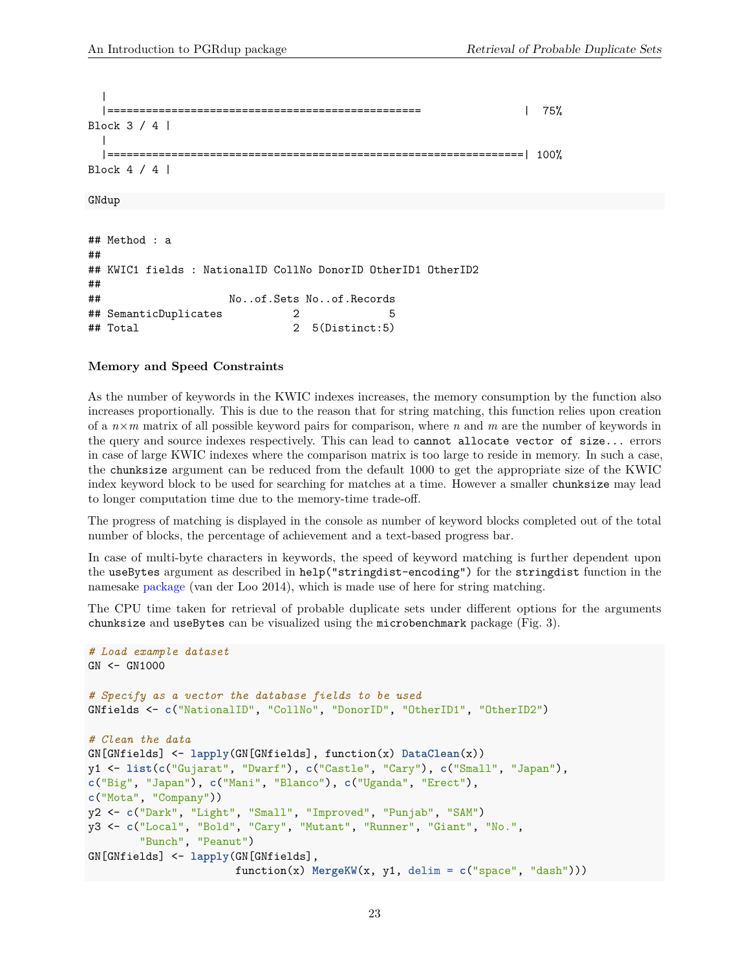```
|
        |================================================= | 75%
Block 3 / 4 |
 |
 |=================================================================| 100%
Block 4 / 4 |
GNdup
## Method : a
##
## KWIC1 fields : NationalID CollNo DonorID OtherID1 OtherID2
##
## No..of.Sets No..of.Records
## SemanticDuplicates 2 5
## Total 2 5(Distinct:5)
```
#### <span id="page-22-0"></span>**Memory and Speed Constraints**

As the number of keywords in the KWIC indexes increases, the memory consumption by the function also increases proportionally. This is due to the reason that for string matching, this function relies upon creation of a *n*×*m* matrix of all possible keyword pairs for comparison, where *n* and *m* are the number of keywords in the query and source indexes respectively. This can lead to cannot allocate vector of size... errors in case of large KWIC indexes where the comparison matrix is too large to reside in memory. In such a case, the chunksize argument can be reduced from the default 1000 to get the appropriate size of the KWIC index keyword block to be used for searching for matches at a time. However a smaller chunksize may lead to longer computation time due to the memory-time trade-off.

The progress of matching is displayed in the console as number of keyword blocks completed out of the total number of blocks, the percentage of achievement and a text-based progress bar.

In case of multi-byte characters in keywords, the speed of keyword matching is further dependent upon the useBytes argument as described in help("stringdist-encoding") for the stringdist function in the namesake [package](http://cran.r-project.org/web/packages/stringdist/index.html) (van der Loo 2014), which is made use of here for string matching.

The CPU time taken for retrieval of probable duplicate sets under different options for the arguments chunksize and useBytes can be visualized using the microbenchmark package (Fig. 3).

```
# Load example dataset
GN <- GN1000
# Specify as a vector the database fields to be used
GNfields <- c("NationalID", "CollNo", "DonorID", "OtherID1", "OtherID2")
# Clean the data
GN[GNfields] <- lapply(GN[GNfields], function(x) DataClean(x))
y1 <- list(c("Gujarat", "Dwarf"), c("Castle", "Cary"), c("Small", "Japan"),
c("Big", "Japan"), c("Mani", "Blanco"), c("Uganda", "Erect"),
c("Mota", "Company"))
y2 <- c("Dark", "Light", "Small", "Improved", "Punjab", "SAM")
y3 <- c("Local", "Bold", "Cary", "Mutant", "Runner", "Giant", "No.",
        "Bunch", "Peanut")
GN[GNfields] <- lapply(GN[GNfields],
                       function(x) MergeKW(x, y1, delim = c("space", "dash")))
```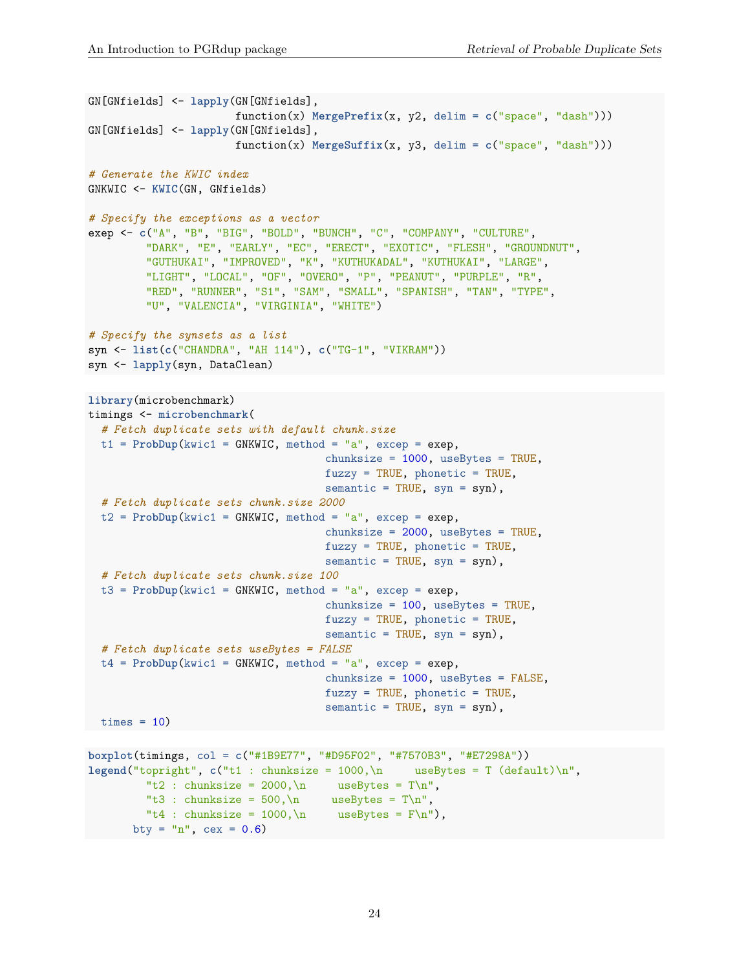```
GN[GNfields] <- lapply(GN[GNfields],
                       function(x) MergePrefix(x, y2, delim = c("space", "dash"))GN[GNfields] <- lapply(GN[GNfields],
                       function(x) MergeSuffix(x, y3, delim = c("space", "dash"))# Generate the KWIC index
GNKWIC <- KWIC(GN, GNfields)
# Specify the exceptions as a vector
exep <- c("A", "B", "BIG", "BOLD", "BUNCH", "C", "COMPANY", "CULTURE",
         "DARK", "E", "EARLY", "EC", "ERECT", "EXOTIC", "FLESH", "GROUNDNUT",
         "GUTHUKAI", "IMPROVED", "K", "KUTHUKADAL", "KUTHUKAI", "LARGE",
         "LIGHT", "LOCAL", "OF", "OVERO", "P", "PEANUT", "PURPLE", "R",
         "RED", "RUNNER", "S1", "SAM", "SMALL", "SPANISH", "TAN", "TYPE",
         "U", "VALENCIA", "VIRGINIA", "WHITE")
# Specify the synsets as a list
syn <- list(c("CHANDRA", "AH 114"), c("TG-1", "VIKRAM"))
syn <- lapply(syn, DataClean)
library(microbenchmark)
timings <- microbenchmark(
  # Fetch duplicate sets with default chunk.size
 t1 = Probability(kwic1 = GNKWIC, method = "a", except = except,chunksize = 1000, useBytes = TRUE,
                                     fuzzy = TRUE, phonetic = TRUE,semantic = TRUE, syn = syn,
  # Fetch duplicate sets chunk.size 2000
  t2 = ProbDup(kwic1 = GNKWIC, method = "a", excep = exep,
                                    chunksize = 2000, useBytes = TRUE,
                                     fuzzy = TRUE, phonetic = TRUE,semantic = TRUE, syn = syn,
  # Fetch duplicate sets chunk.size 100
  t3 = ProbDup(kwic1 = GNKWIC, method = "a", except = except,chunksize = 100, useBytes = TRUE,
                                     fuzzy = TRUE, phonetic = TRUE,semantic = TRUE, syn = syn),# Fetch duplicate sets useBytes = FALSE
 t4 = ProbDup(kwic1 = GNKWIC, method = "a", excep = exep,
                                     chunksize = 1000, useBytes = FALSE,
                                     fuzzy = TRUE, phonetic = TRUE,
                                     semantic = TRUE, syn = syn,
\tt times = 10boxplot(timings, col = c("#1B9E77", "#D95F02", "#7570B3", "#E7298A"))
```

```
legend("topright", c("t1 : chunksize = 1000,\n m \text{useBytes} = T (default)\n","t2 : chunksize = 2000 \ln useBytes = T\ln",
         "t3 : chunksize = 500, \n useBytes = T\ n",
         "t4 : chunksize = 1000 \ldots useBytes = F \n\cdot),
      bty = "n", cex = 0.6)
```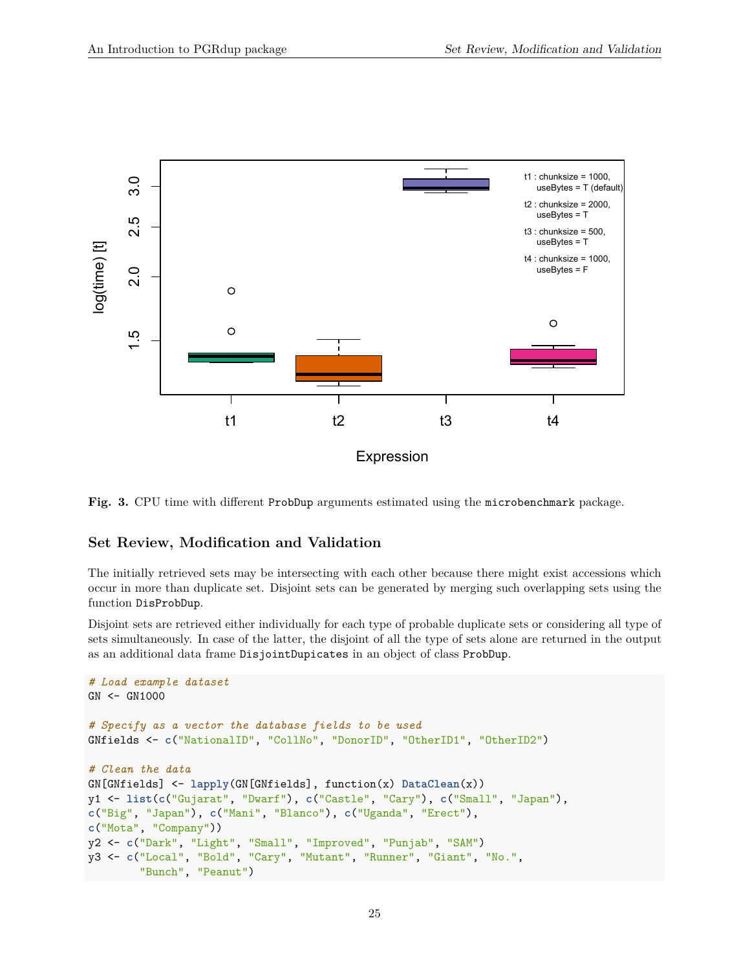

**Fig. 3.** CPU time with different ProbDup arguments estimated using the microbenchmark package.

### <span id="page-24-0"></span>**Set Review, Modification and Validation**

The initially retrieved sets may be intersecting with each other because there might exist accessions which occur in more than duplicate set. Disjoint sets can be generated by merging such overlapping sets using the function DisProbDup.

Disjoint sets are retrieved either individually for each type of probable duplicate sets or considering all type of sets simultaneously. In case of the latter, the disjoint of all the type of sets alone are returned in the output as an additional data frame DisjointDupicates in an object of class ProbDup.

```
# Load example dataset
GN <- GN1000
# Specify as a vector the database fields to be used
GNfields <- c("NationalID", "CollNo", "DonorID", "OtherID1", "OtherID2")
# Clean the data
GN[GNfields] <- lapply(GN[GNfields], function(x) DataClean(x))
y1 <- list(c("Gujarat", "Dwarf"), c("Castle", "Cary"), c("Small", "Japan"),
c("Big", "Japan"), c("Mani", "Blanco"), c("Uganda", "Erect"),
c("Mota", "Company"))
y2 <- c("Dark", "Light", "Small", "Improved", "Punjab", "SAM")
y3 <- c("Local", "Bold", "Cary", "Mutant", "Runner", "Giant", "No.",
        "Bunch", "Peanut")
```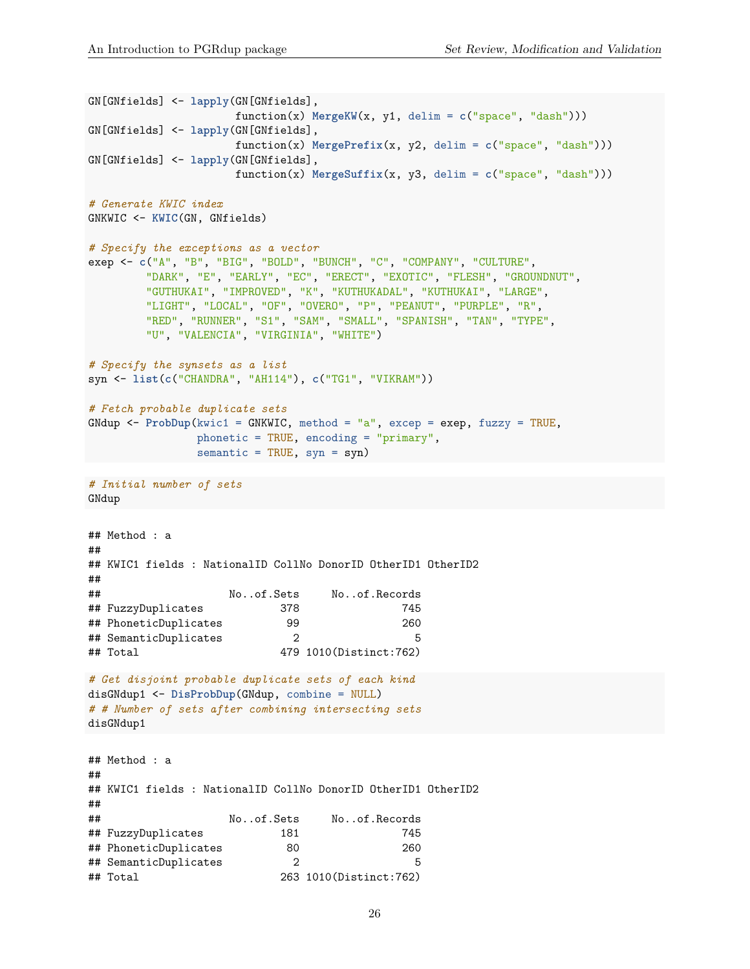```
GN[GNfields] <- lapply(GN[GNfields],
                    function(x) MergeKW(x, y1, delim = c("space", "dash")))
GN[GNfields] <- lapply(GN[GNfields],
                    function(x) MergePrefix(x, y2, delim = c("space", "dash")))
GN[GNfields] <- lapply(GN[GNfields],
                    function(x) MergeSuffix(x, y3, delim = c("space", "dash")))
# Generate KWIC index
GNKWIC <- KWIC(GN, GNfields)
# Specify the exceptions as a vector
exep <- c("A", "B", "BIG", "BOLD", "BUNCH", "C", "COMPANY", "CULTURE",
        "DARK", "E", "EARLY", "EC", "ERECT", "EXOTIC", "FLESH", "GROUNDNUT",
        "GUTHUKAI", "IMPROVED", "K", "KUTHUKADAL", "KUTHUKAI", "LARGE",
        "LIGHT", "LOCAL", "OF", "OVERO", "P", "PEANUT", "PURPLE", "R",
        "RED", "RUNNER", "S1", "SAM", "SMALL", "SPANISH", "TAN", "TYPE",
        "U", "VALENCIA", "VIRGINIA", "WHITE")
# Specify the synsets as a list
syn <- list(c("CHANDRA", "AH114"), c("TG1", "VIKRAM"))
# Fetch probable duplicate sets
GNdup <- ProbDup(kwic1 = GNKWIC, method = "a", excep = exep, fuzzy = TRUE,
               phonetic = TRUE, encoding = "primary",
               semantic = TRUE, syn = syn)
# Initial number of sets
GNdup
## Method : a
##
## KWIC1 fields : NationalID CollNo DonorID OtherID1 OtherID2
##
## No..of.Sets No..of.Records
## FuzzyDuplicates 378 745
## PhoneticDuplicates 99 260
## SemanticDuplicates 2 5
## Total 479 1010(Distinct:762)
# Get disjoint probable duplicate sets of each kind
disGNdup1 <- DisProbDup(GNdup, combine = NULL)
# # Number of sets after combining intersecting sets
disGNdup1
## Method : a
##
## KWIC1 fields : NationalID CollNo DonorID OtherID1 OtherID2
##
## No..of.Sets No..of.Records
## FuzzyDuplicates 181 745
## PhoneticDuplicates 80 260
## SemanticDuplicates 2 5
## Total 263 1010(Distinct:762)
```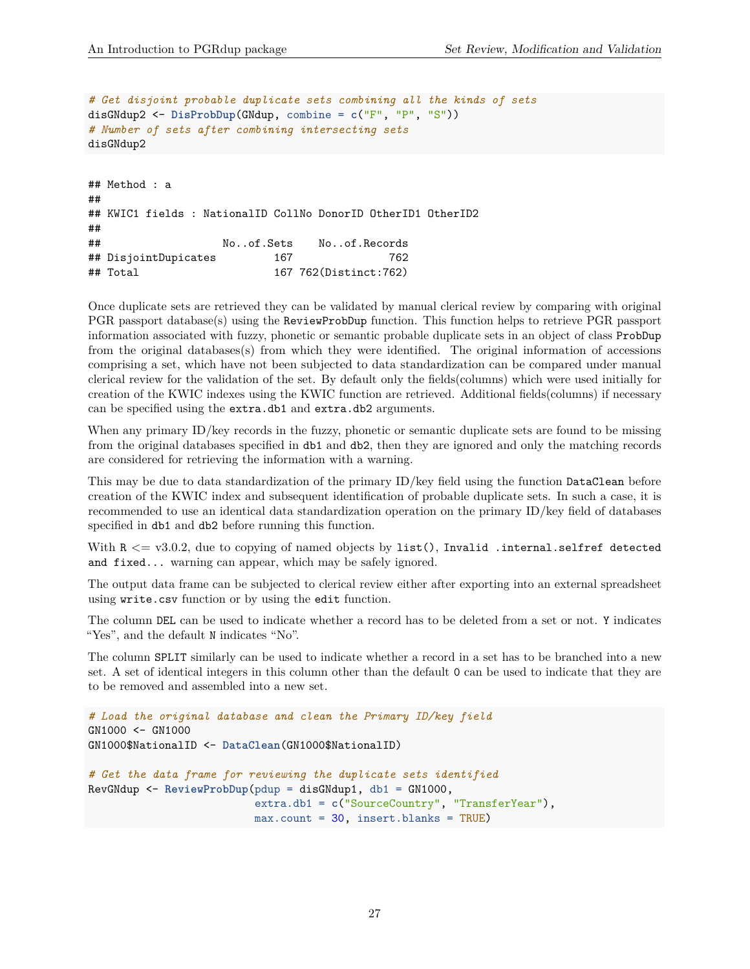```
# Get disjoint probable duplicate sets combining all the kinds of sets
disGNdup2 <- DisProbDup(GNdup, combine = c("F", "P", "S"))
# Number of sets after combining intersecting sets
disGNdup2
## Method : a
##
## KWIC1 fields : NationalID CollNo DonorID OtherID1 OtherID2
##
## No..of.Sets No..of.Records
## DisjointDupicates 167 762
```
## Total 167 762(Distinct:762)

Once duplicate sets are retrieved they can be validated by manual clerical review by comparing with original PGR passport database(s) using the ReviewProbDup function. This function helps to retrieve PGR passport information associated with fuzzy, phonetic or semantic probable duplicate sets in an object of class ProbDup from the original databases(s) from which they were identified. The original information of accessions comprising a set, which have not been subjected to data standardization can be compared under manual clerical review for the validation of the set. By default only the fields(columns) which were used initially for creation of the KWIC indexes using the KWIC function are retrieved. Additional fields(columns) if necessary can be specified using the extra.db1 and extra.db2 arguments.

When any primary ID/key records in the fuzzy, phonetic or semantic duplicate sets are found to be missing from the original databases specified in db1 and db2, then they are ignored and only the matching records are considered for retrieving the information with a warning.

This may be due to data standardization of the primary ID/key field using the function DataClean before creation of the KWIC index and subsequent identification of probable duplicate sets. In such a case, it is recommended to use an identical data standardization operation on the primary ID/key field of databases specified in db1 and db2 before running this function.

With  $R \leq v3.0.2$ , due to copying of named objects by list(), Invalid .internal.selfref detected and fixed... warning can appear, which may be safely ignored.

The output data frame can be subjected to clerical review either after exporting into an external spreadsheet using write.csv function or by using the edit function.

The column DEL can be used to indicate whether a record has to be deleted from a set or not. Y indicates "Yes", and the default N indicates "No".

The column SPLIT similarly can be used to indicate whether a record in a set has to be branched into a new set. A set of identical integers in this column other than the default 0 can be used to indicate that they are to be removed and assembled into a new set.

```
# Load the original database and clean the Primary ID/key field
GN1000 <- GN1000
GN1000$NationalID <- DataClean(GN1000$NationalID)
# Get the data frame for reviewing the duplicate sets identified
RevGNdup <- ReviewProbDup(pdup = disGNdup1, db1 = GN1000,
                          extra.db1 = c("SourceCountry", "TransferYear"),
                          max.count = 30, insert.blanks = TRUE)
```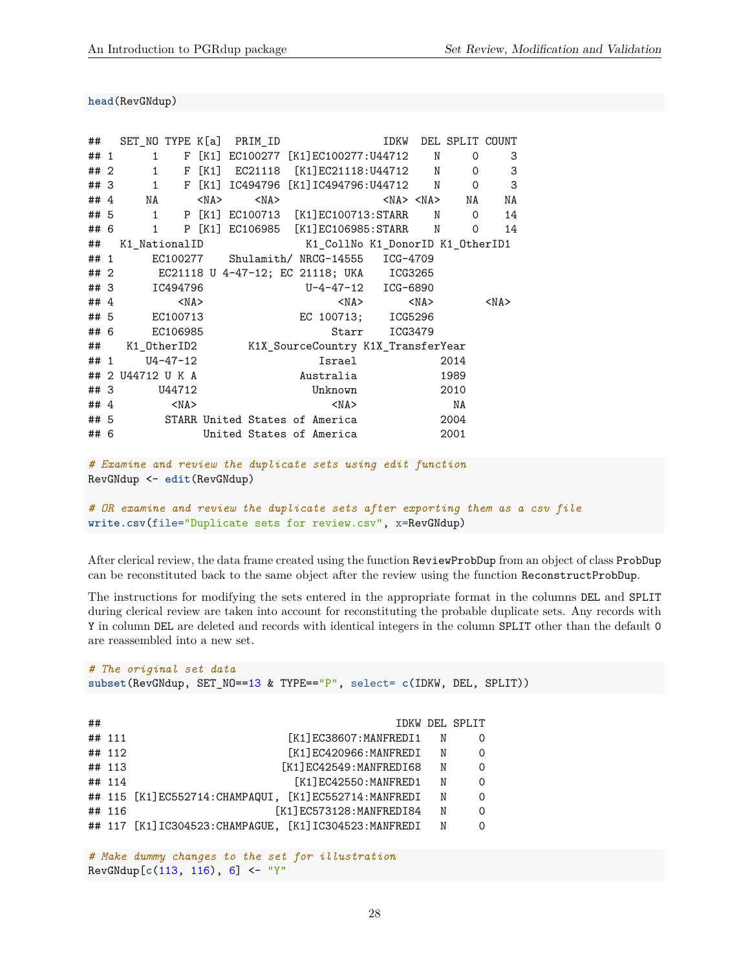**head**(RevGNdup)

| ##     |                   |            |            | SET_NO TYPE K[a] PRIM_ID                       |            |       |                    |            | IDKW DEL SPLIT COUNT |            |
|--------|-------------------|------------|------------|------------------------------------------------|------------|-------|--------------------|------------|----------------------|------------|
| ## 1   |                   |            |            | 1 F [K1] EC100277 [K1]EC100277:U44712 N        |            |       |                    |            | $\mathbf 0$          | 3          |
|        | ##2               |            |            | 1 F [K1] EC21118 [K1]EC21118:U44712 N          |            |       |                    |            | $\mathbf 0$          | 3          |
|        | ## 3              |            |            | 1 F [K1] IC494796 [K1] IC494796:U44712 N       |            |       |                    |            | $\mathbf 0$          | 3          |
| ## $4$ | NA                |            | $<$ NA $>$ | $<$ NA $>$                                     |            |       |                    |            | $<$ NA> $<$ NA> NA   | NA         |
| ## 5   |                   |            |            | 1 P [K1] EC100713 [K1]EC100713:STARR N 0       |            |       |                    |            |                      | 14         |
| ## 6   |                   |            |            | 1 P [K1] EC106985 [K1] EC106985: STARR N 0     |            |       |                    |            |                      | 14         |
| ##     | K1 NationalID     |            |            | K1_CollNo K1_DonorID K1_OtherID1               |            |       |                    |            |                      |            |
| ## 1   |                   |            |            | EC100277 Shulamith/NRCG-14555 ICG-4709         |            |       |                    |            |                      |            |
|        |                   |            |            | ## 2 EC21118 U 4-47-12; EC 21118; UKA ICG3265  |            |       |                    |            |                      |            |
|        | ## 3 IC494796     |            |            |                                                |            |       | U-4-47-12 ICG-6890 |            |                      |            |
| ##4    |                   | $<$ NA $>$ |            |                                                |            |       | $<$ NA $>$         | $<$ NA $>$ |                      | $<$ NA $>$ |
|        | ## 5 EC100713     |            |            |                                                |            |       | EC 100713; ICG5296 |            |                      |            |
| ## 6   |                   | EC106985   |            |                                                |            | Starr | ICG3479            |            |                      |            |
| ##     |                   |            |            | K1_0therID2 K1X_SourceCountry K1X_TransferYear |            |       |                    |            |                      |            |
| ## 1   |                   | U4-47-12   |            |                                                | Israel     |       |                    |            | 2014                 |            |
|        | ## 2 U44712 U K A |            |            |                                                | Australia  |       |                    |            | 1989                 |            |
| ## 3   |                   | U44712     |            |                                                | Unknown    |       |                    | 2010       |                      |            |
| ##4    |                   | $<$ NA $>$ |            |                                                | $<$ NA $>$ |       |                    |            | NA                   |            |
|        |                   |            |            | ## 5 STARR United States of America            |            |       |                    | 2004       |                      |            |
| ## 6   |                   |            |            | United States of America                       |            |       |                    |            | 2001                 |            |

```
# Examine and review the duplicate sets using edit function
RevGNdup <- edit(RevGNdup)
```

```
# OR examine and review the duplicate sets after exporting them as a csv file
write.csv(file="Duplicate sets for review.csv", x=RevGNdup)
```
After clerical review, the data frame created using the function ReviewProbDup from an object of class ProbDup can be reconstituted back to the same object after the review using the function ReconstructProbDup.

The instructions for modifying the sets entered in the appropriate format in the columns DEL and SPLIT during clerical review are taken into account for reconstituting the probable duplicate sets. Any records with Y in column DEL are deleted and records with identical integers in the column SPLIT other than the default 0 are reassembled into a new set.

```
# The original set data
subset(RevGNdup, SET_NO==13 & TYPE=="P", select= c(IDKW, DEL, SPLIT))
## IDKW DEL SPLIT
## 111 [K1]EC38607:MANFREDI1 N 0
## 112 [K1]EC420966:MANFREDI N 0
## 113 [K1]EC42549:MANFREDI68 N 0
## 114 [K1]EC42550:MANFRED1 N 0
## 115 [K1]EC552714:CHAMPAQUI, [K1]EC552714:MANFREDI N 0
## 116 [K1]EC573128:MANFREDI84 N 0
## 117 [K1] IC304523: CHAMPAGUE, [K1] IC304523: MANFREDI N 0
```
*# Make dummy changes to the set for illustration* RevGNdup[**c**(113, 116), 6] <- "Y"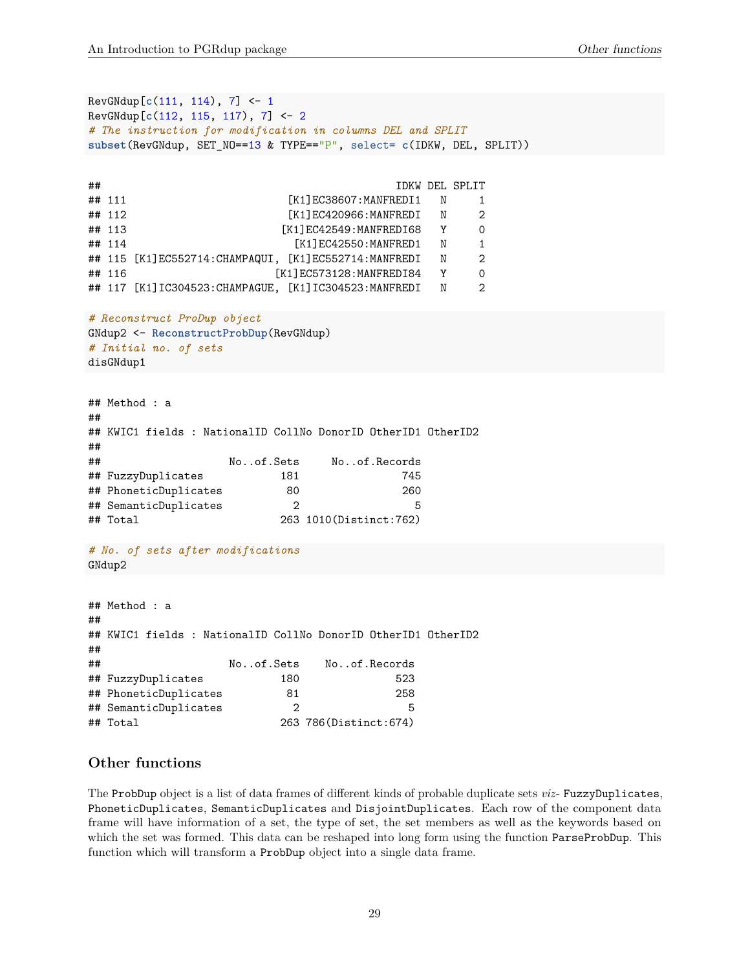```
RevGNdup[c(111, 114), 7] <- 1
RevGNdup[c(112, 115, 117), 7] <- 2
# The instruction for modification in columns DEL and SPLIT
subset(RevGNdup, SET_NO==13 & TYPE=="P", select= c(IDKW, DEL, SPLIT))
## IDKW DEL SPLIT
## 111 [K1]EC38607:MANFREDI1 N 1
## 112 [K1]EC420966:MANFREDI N 2
## 113 [K1]EC42549:MANFREDI68 Y 0
## 114 [K1]EC42550:MANFRED1 N 1
## 115 [K1]EC552714:CHAMPAQUI, [K1]EC552714:MANFREDI N 2
## 116 [K1]EC573128:MANFREDI84 Y 0
## 117 [K1] IC304523: CHAMPAGUE, [K1] IC304523: MANFREDI N 2
# Reconstruct ProDup object
GNdup2 <- ReconstructProbDup(RevGNdup)
# Initial no. of sets
disGNdup1
## Method : a
##
## KWIC1 fields : NationalID CollNo DonorID OtherID1 OtherID2
##
## No..of.Sets No..of.Records
## FuzzyDuplicates 181 745
## PhoneticDuplicates 80 260
## SemanticDuplicates 2 5
## Total 263 1010(Distinct:762)
# No. of sets after modifications
GNdup2
## Method : a
##
## KWIC1 fields : NationalID CollNo DonorID OtherID1 OtherID2
##
## No..of.Sets No..of.Records
## FuzzyDuplicates 180 523
```
<span id="page-28-0"></span>**Other functions**

## PhoneticDuplicates 81 258 ## SemanticDuplicates 2 5 ## Total 263 786(Distinct:674)

The ProbDup object is a list of data frames of different kinds of probable duplicate sets *viz*- FuzzyDuplicates, PhoneticDuplicates, SemanticDuplicates and DisjointDuplicates. Each row of the component data frame will have information of a set, the type of set, the set members as well as the keywords based on which the set was formed. This data can be reshaped into long form using the function ParseProbDup. This function which will transform a ProbDup object into a single data frame.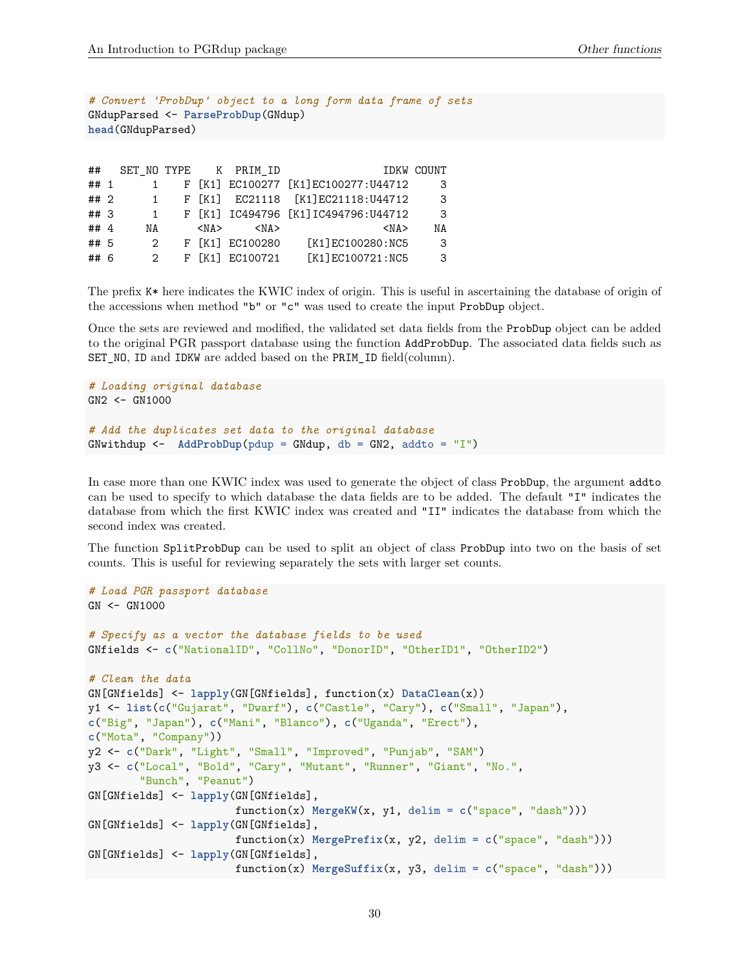```
# Convert 'ProbDup' object to a long form data frame of sets
GNdupParsed <- ParseProbDup(GNdup)
head(GNdupParsed)
```

| ##     |               |           | SET NO TYPE K PRIM_ID |                                       | IDKW COUNT |
|--------|---------------|-----------|-----------------------|---------------------------------------|------------|
| ## 1   |               |           |                       | F [K1] EC100277 [K1] EC100277: U44712 | 3          |
| ## 2   | $\mathbf{1}$  |           |                       | F [K1] EC21118 [K1]EC21118:U44712     | -3         |
| ## 3   | $\mathbf{1}$  |           |                       | F [K1] IC494796 [K1] IC494796:U44712  | 3          |
| ## $4$ | ΝA            | <na></na> | <na></na>             | $<$ NA $>$                            | ΝA         |
| ## 5   | 2             |           | F [K1] EC100280       | [K1]EC100280:NC5                      | - 3        |
| ## 6   | $\mathcal{P}$ |           | F [K1] EC100721       | [K1]EC100721:NC5                      | 3          |

The prefix K\* here indicates the KWIC index of origin. This is useful in ascertaining the database of origin of the accessions when method "b" or "c" was used to create the input ProbDup object.

Once the sets are reviewed and modified, the validated set data fields from the ProbDup object can be added to the original PGR passport database using the function AddProbDup. The associated data fields such as SET\_NO, ID and IDKW are added based on the PRIM\_ID field(column).

```
# Loading original database
GN2 <- GN1000
# Add the duplicates set data to the original database
GNwithdup <- AddProbDup(pdup = GNdup, db = GN2, addto = "I")
```
In case more than one KWIC index was used to generate the object of class ProbDup, the argument addto can be used to specify to which database the data fields are to be added. The default "I" indicates the database from which the first KWIC index was created and "II" indicates the database from which the second index was created.

The function SplitProbDup can be used to split an object of class ProbDup into two on the basis of set counts. This is useful for reviewing separately the sets with larger set counts.

```
# Load PGR passport database
GN <- GN1000
# Specify as a vector the database fields to be used
GNfields <- c("NationalID", "CollNo", "DonorID", "OtherID1", "OtherID2")
# Clean the data
GN[GNfields] <- lapply(GN[GNfields], function(x) DataClean(x))
y1 <- list(c("Gujarat", "Dwarf"), c("Castle", "Cary"), c("Small", "Japan"),
c("Big", "Japan"), c("Mani", "Blanco"), c("Uganda", "Erect"),
c("Mota", "Company"))
y2 <- c("Dark", "Light", "Small", "Improved", "Punjab", "SAM")
y3 <- c("Local", "Bold", "Cary", "Mutant", "Runner", "Giant", "No.",
        "Bunch", "Peanut")
GN[GNfields] <- lapply(GN[GNfields],
                       function(x) MergeKW(x, y1, delim = c("space", "dash"))GN[GNfields] <- lapply(GN[GNfields],
                       function(x) MergePrefix(x, y2, delim = c("space", "dash")))
GN[GNfields] <- lapply(GN[GNfields],
                       function(x) MergeSuffix(x, y3, delim = c("space", "dash")))
```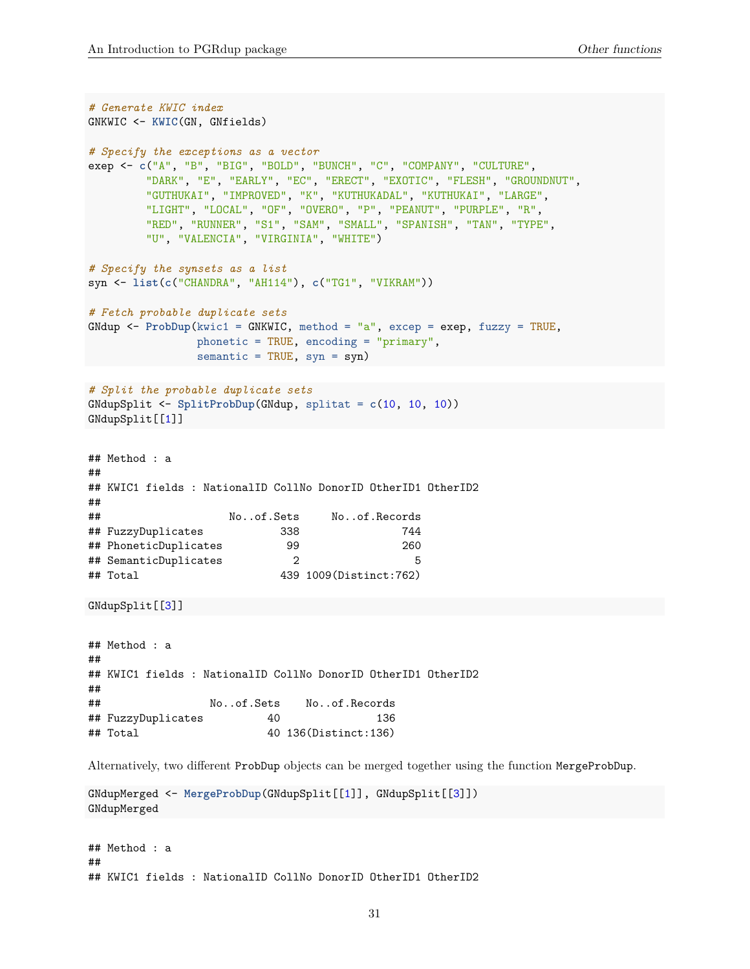```
# Generate KWIC index
GNKWIC <- KWIC(GN, GNfields)
# Specify the exceptions as a vector
exep <- c("A", "B", "BIG", "BOLD", "BUNCH", "C", "COMPANY", "CULTURE",
         "DARK", "E", "EARLY", "EC", "ERECT", "EXOTIC", "FLESH", "GROUNDNUT",
         "GUTHUKAI", "IMPROVED", "K", "KUTHUKADAL", "KUTHUKAI", "LARGE",
         "LIGHT", "LOCAL", "OF", "OVERO", "P", "PEANUT", "PURPLE", "R",
         "RED", "RUNNER", "S1", "SAM", "SMALL", "SPANISH", "TAN", "TYPE",
         "U", "VALENCIA", "VIRGINIA", "WHITE")
# Specify the synsets as a list
syn <- list(c("CHANDRA", "AH114"), c("TG1", "VIKRAM"))
# Fetch probable duplicate sets
GNdup <- ProbDup(kwic1 = GNKWIC, method = "a", excep = exep, fuzzy = TRUE,
                 phonetic = TRUE, encoding = "primary",
                 semantic = TRUE, syn = syn)
# Split the probable duplicate sets
GNdupSplit <- SplitProbDup(GNdup, splitat = c(10, 10, 10))
GNdupSplit[[1]]
```

```
## Method : a
##
## KWIC1 fields : NationalID CollNo DonorID OtherID1 OtherID2
##
## No..of.Sets No..of.Records
## FuzzyDuplicates 338 744
## PhoneticDuplicates 99 260
## SemanticDuplicates 2 5
## Total 439 1009(Distinct:762)
```
GNdupSplit[[3]]

```
## Method : a
##
## KWIC1 fields : NationalID CollNo DonorID OtherID1 OtherID2
##
## No..of.Sets No..of.Records
## FuzzyDuplicates 40 136
## Total 40 136(Distinct:136)
```
Alternatively, two different ProbDup objects can be merged together using the function MergeProbDup.

```
GNdupMerged <- MergeProbDup(GNdupSplit[[1]], GNdupSplit[[3]])
GNdupMerged
```
## Method : a ## ## KWIC1 fields : NationalID CollNo DonorID OtherID1 OtherID2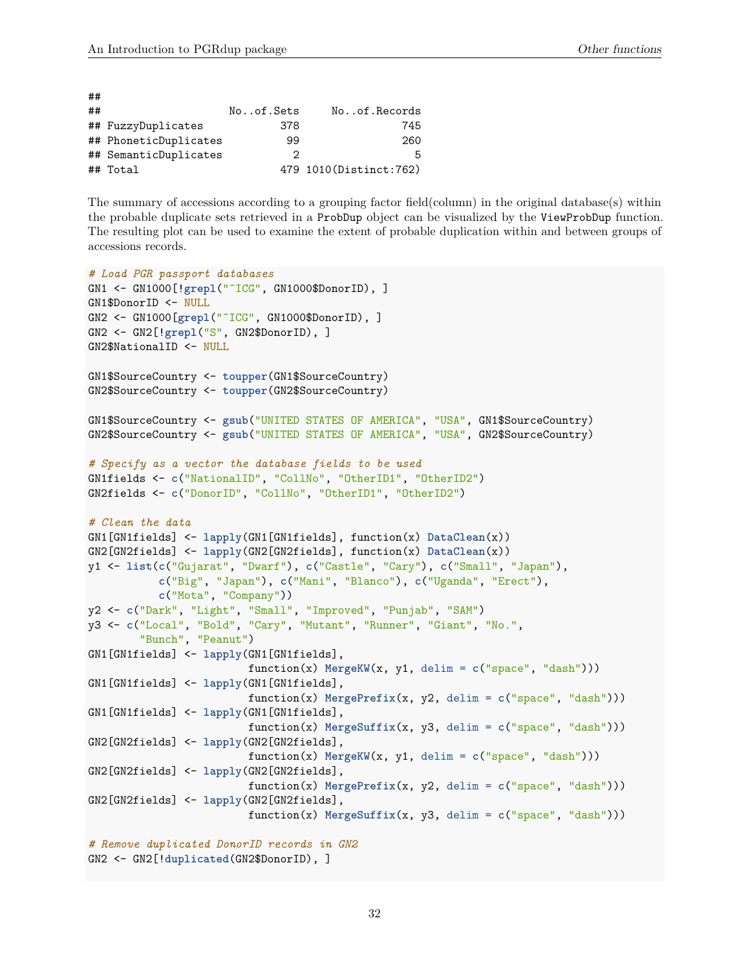| ## |                       |           |                          |
|----|-----------------------|-----------|--------------------------|
| ## |                       | Noof.Sets | Noof.Records             |
|    | ## FuzzyDuplicates    | 378       | 745                      |
|    | ## PhoneticDuplicates | 99        | 260                      |
|    | ## SemanticDuplicates | 2         | 5                        |
|    | ## Total              |           | 479 1010 (Distinct: 762) |

The summary of accessions according to a grouping factor field(column) in the original database(s) within the probable duplicate sets retrieved in a ProbDup object can be visualized by the ViewProbDup function. The resulting plot can be used to examine the extent of probable duplication within and between groups of accessions records.

```
# Load PGR passport databases
GN1 <- GN1000[!grepl("^ICG", GN1000$DonorID), ]
GN1$DonorID <- NULL
GN2 <- GN1000[grepl("^ICG", GN1000$DonorID), ]
GN2 <- GN2[!grepl("S", GN2$DonorID), ]
GN2$NationalID <- NULL
GN1$SourceCountry <- toupper(GN1$SourceCountry)
GN2$SourceCountry <- toupper(GN2$SourceCountry)
GN1$SourceCountry <- gsub("UNITED STATES OF AMERICA", "USA", GN1$SourceCountry)
GN2$SourceCountry <- gsub("UNITED STATES OF AMERICA", "USA", GN2$SourceCountry)
# Specify as a vector the database fields to be used
GN1fields <- c("NationalID", "CollNo", "OtherID1", "OtherID2")
GN2fields <- c("DonorID", "CollNo", "OtherID1", "OtherID2")
# Clean the data
GN1[GN1fields] <- lapply(GN1[GN1fields], function(x) DataClean(x))
GN2[GN2fields] <- lapply(GN2[GN2fields], function(x) DataClean(x))
y1 <- list(c("Gujarat", "Dwarf"), c("Castle", "Cary"), c("Small", "Japan"),
           c("Big", "Japan"), c("Mani", "Blanco"), c("Uganda", "Erect"),
           c("Mota", "Company"))
y2 <- c("Dark", "Light", "Small", "Improved", "Punjab", "SAM")
y3 <- c("Local", "Bold", "Cary", "Mutant", "Runner", "Giant", "No.",
        "Bunch", "Peanut")
GN1[GN1fields] <- lapply(GN1[GN1fields],
                         function(x) MergeKW(x, y1, delim = c("space", "dash")))
GN1[GN1fields] <- lapply(GN1[GN1fields],
                         function(x) MergePrefix(x, y2, delim = c("space", "dash")))
GN1[GN1fields] <- lapply(GN1[GN1fields],
                         function(x) MergeSuffix(x, y3, delim = c("space", "dash")))
GN2[GN2fields] <- lapply(GN2[GN2fields],
                         function(x) MergeKW(x, y1, delim = c("space", "dash")))
GN2[GN2fields] <- lapply(GN2[GN2fields],
                         function(x) MergePrefix(x, y2, delim = c("space", "dash")))
GN2[GN2fields] <- lapply(GN2[GN2fields],
                         function(x) MergeSuffix(x, y3, delim = c("space", "dash")))
# Remove duplicated DonorID records in GN2
GN2 <- GN2[!duplicated(GN2$DonorID), ]
```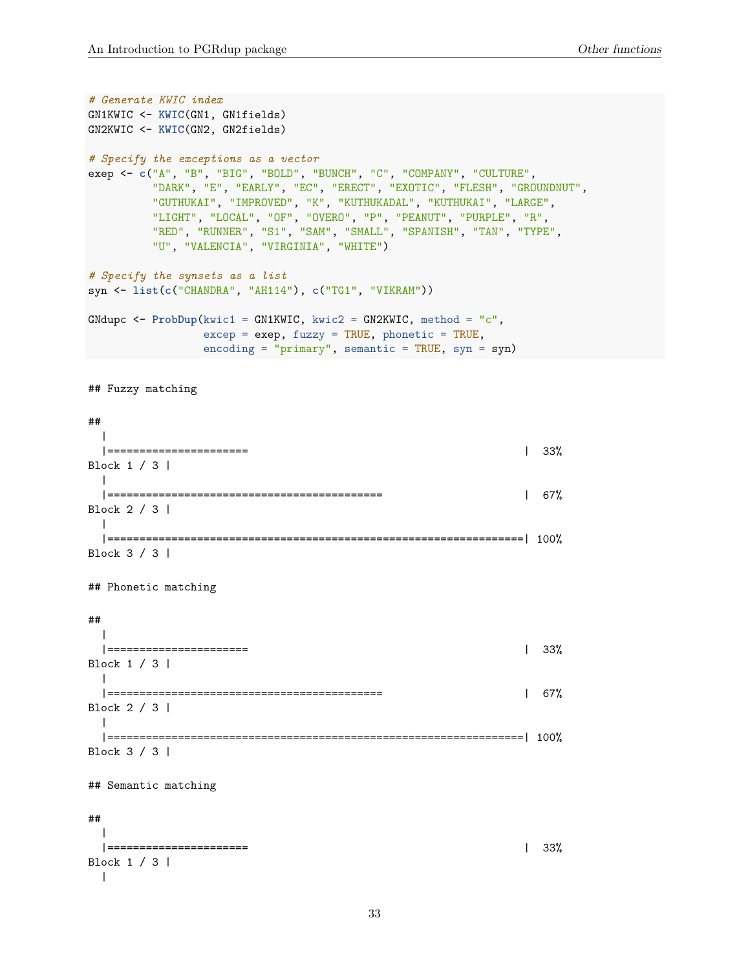```
# Generate KWIC index
GN1KWIC <- KWIC(GN1, GN1fields)
GN2KWIC <- KWIC(GN2, GN2fields)
# Specify the exceptions as a vector
exep <- c("A", "B", "BIG", "BOLD", "BUNCH", "C", "COMPANY", "CULTURE",
         "DARK", "E", "EARLY", "EC", "ERECT", "EXOTIC", "FLESH", "GROUNDNUT",
         "GUTHUKAI", "IMPROVED", "K", "KUTHUKADAL", "KUTHUKAI", "LARGE",
         "LIGHT", "LOCAL", "OF", "OVERO", "P", "PEANUT", "PURPLE", "R",
         "RED", "RUNNER", "S1", "SAM", "SMALL", "SPANISH", "TAN", "TYPE",
         "U", "VALENCIA", "VIRGINIA", "WHITE")
# Specify the synsets as a list
syn <- list(c("CHANDRA", "AH114"), c("TG1", "VIKRAM"))
GNdupc <- ProbDup(kwic1 = GN1KWIC, kwic2 = GN2KWIC, method = "c",
                excep = exep, fuzzy = TRUE, phonetic = TRUE,encoding = "primary", semantic = TRUE, syn = syn)
## Fuzzy matching
##
 \blacksquare|====================== | 33%
Block 1 / 3 |
 \perp|=========================================== | 67%
Block 2 / 3 |
 \blacksquare|=================================================================| 100%
Block 3 / 3 |
## Phonetic matching
##
 \blacksquare|====================== | 33%
Block 1 / 3 |
 \Box|=========================================== | 67%
Block 2 / 3 |
 \blacksquare|=================================================================| 100%
Block 3 / 3 |
## Semantic matching
##
  \blacksquare|====================== | 33%
Block 1 / 3 |
 \blacksquare
```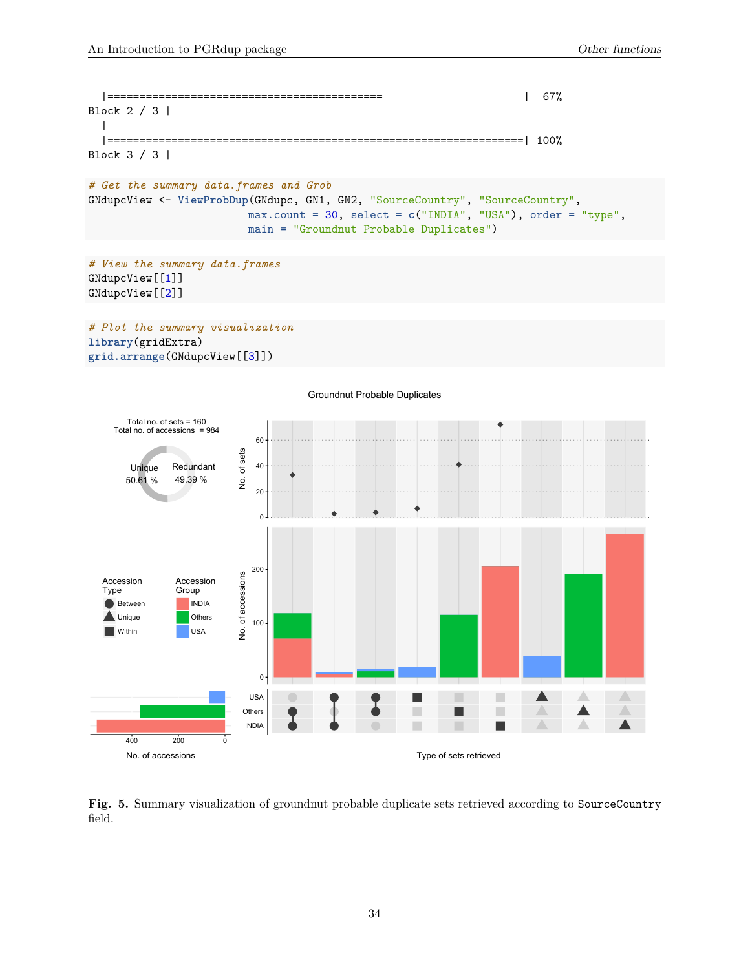```
|=========================================== | 67%
Block 2 / 3 |
 |
  |=================================================================| 100%
Block 3 / 3 |
```

```
# Get the summary data.frames and Grob
GNdupcView <- ViewProbDup(GNdupc, GN1, GN2, "SourceCountry", "SourceCountry",
                         max.count = 30, select = c("INDIA", "USA"), order = "type",
                         main = "Groundnut Probable Duplicates")
```

```
# View the summary data.frames
GNdupcView[[1]]
GNdupcView[[2]]
```
*# Plot the summary visualization* **library**(gridExtra) **grid.arrange**(GNdupcView[[3]])



**Fig. 5.** Summary visualization of groundnut probable duplicate sets retrieved according to SourceCountry field.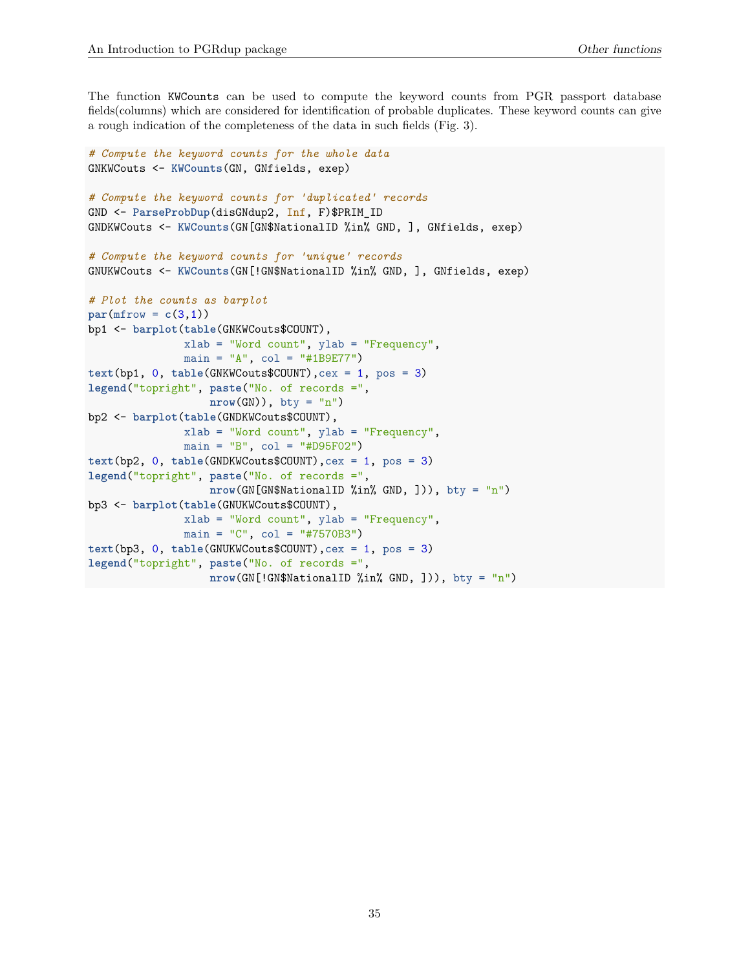The function KWCounts can be used to compute the keyword counts from PGR passport database fields(columns) which are considered for identification of probable duplicates. These keyword counts can give a rough indication of the completeness of the data in such fields (Fig. 3).

```
# Compute the keyword counts for the whole data
GNKWCouts <- KWCounts(GN, GNfields, exep)
# Compute the keyword counts for 'duplicated' records
GND <- ParseProbDup(disGNdup2, Inf, F)$PRIM_ID
GNDKWCouts <- KWCounts(GN[GN$NationalID %in% GND, ], GNfields, exep)
# Compute the keyword counts for 'unique' records
GNUKWCouts <- KWCounts(GN[!GN$NationalID %in% GND, ], GNfields, exep)
# Plot the counts as barplot
par(mfrow = c(3,1))bp1 <- barplot(table(GNKWCouts$COUNT),
              xlab = "Word count", ylab = "Frequency",
              main = "A", col = "#1B9E77")text(bp1, 0, table(GNKWCouts$COUNT),cex = 1, pos = 3)
legend("topright", paste("No. of records =",
                  nrow(GN)), bty = "n")
bp2 <- barplot(table(GNDKWCouts$COUNT),
              xlab = "Word count", ylab = "Frequency",
              main = "B", col = "#D95F02")text(bp2, 0, table(GNDKWCouts$COUNT),cex = 1, pos = 3)
legend("topright", paste("No. of records =",
                  nrow(GN[GN$NationalID %in% GND, ])), bty = "n")
bp3 <- barplot(table(GNUKWCouts$COUNT),
              xlab = "Word count", ylab = "Frequency",
              main = "C", col = "#7570B3")text(bp3, 0, table(GNUKWCouts$COUNT),cex = 1, pos = 3)
legend("topright", paste("No. of records =",
                  nrow(GN[!GN$NationalID %in% GND, ])), bty = "n")
```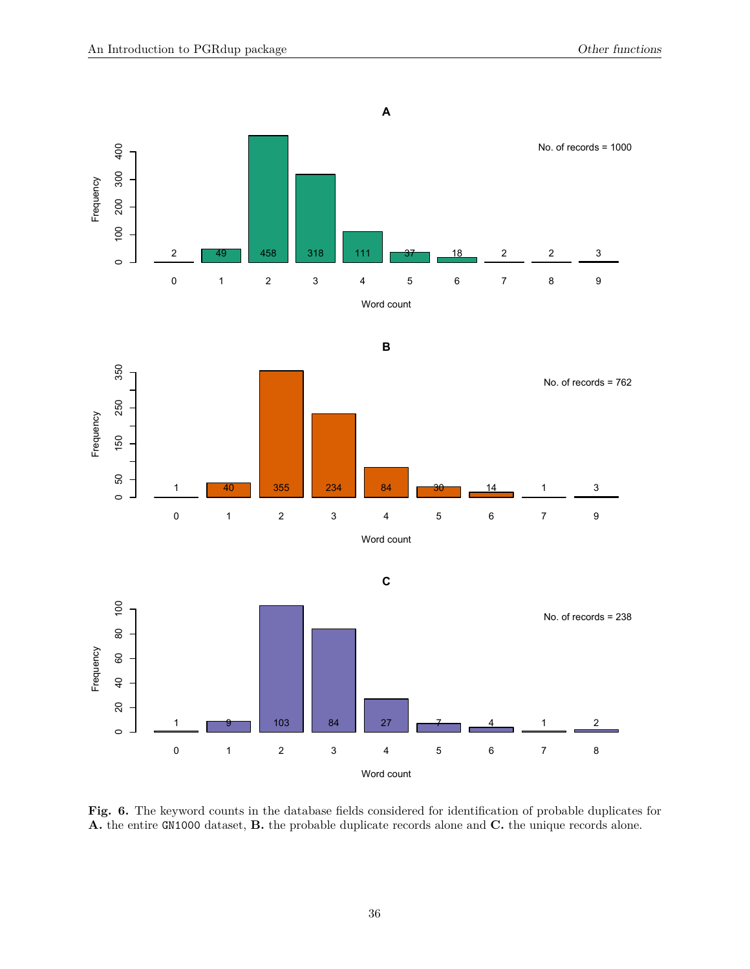

**Fig. 6.** The keyword counts in the database fields considered for identification of probable duplicates for **A.** the entire GN1000 dataset, **B.** the probable duplicate records alone and **C.** the unique records alone.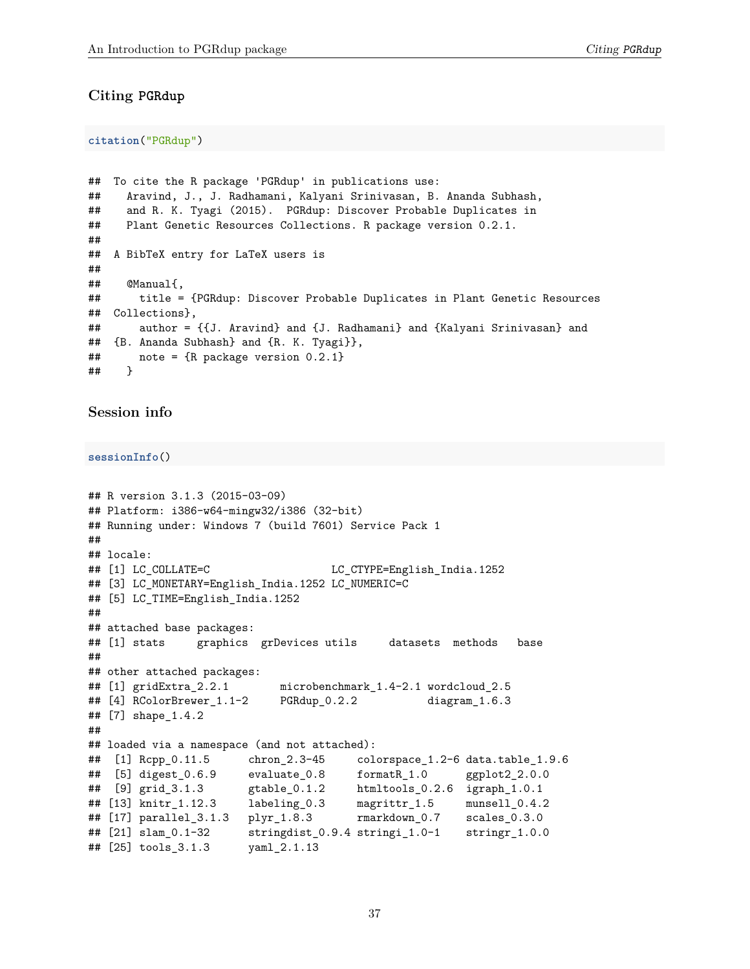#### <span id="page-36-0"></span>**Citing PGRdup**

**citation**("PGRdup")

```
## To cite the R package 'PGRdup' in publications use:
## Aravind, J., J. Radhamani, Kalyani Srinivasan, B. Ananda Subhash,
## and R. K. Tyagi (2015). PGRdup: Discover Probable Duplicates in
## Plant Genetic Resources Collections. R package version 0.2.1.
##
## A BibTeX entry for LaTeX users is
##
## @Manual{,
## title = {PGRdup: Discover Probable Duplicates in Plant Genetic Resources
## Collections},
## author = {{J. Aravind} and {J. Radhamani} and {Kalyani Srinivasan} and
## {B. Ananda Subhash} and {R. K. Tyagi}},
## note = {R package version 0.2.1}
## }
```
#### <span id="page-36-1"></span>**Session info**

**sessionInfo**()

```
## R version 3.1.3 (2015-03-09)
## Platform: i386-w64-mingw32/i386 (32-bit)
## Running under: Windows 7 (build 7601) Service Pack 1
##
## locale:
## [1] LC COLLATE=C LC CTYPE=English India.1252
## [3] LC_MONETARY=English_India.1252 LC_NUMERIC=C
## [5] LC_TIME=English_India.1252
##
## attached base packages:
## [1] stats graphics grDevices utils datasets methods base
##
## other attached packages:
## [1] gridExtra_2.2.1 microbenchmark_1.4-2.1 wordcloud_2.5
## [4] RColorBrewer_1.1-2 PGRdup_0.2.2 diagram_1.6.3
## [7] shape_1.4.2
##
## loaded via a namespace (and not attached):
## [1] Rcpp_0.11.5 chron_2.3-45 colorspace_1.2-6 data.table_1.9.6
## [5] digest_0.6.9 evaluate_0.8 formatR_1.0 ggplot2_2.0.0
## [9] grid_3.1.3 gtable_0.1.2 htmltools_0.2.6 igraph_1.0.1
## [13] knitr_1.12.3 labeling_0.3 magrittr_1.5 munsell_0.4.2
## [17] parallel_3.1.3 plyr_1.8.3 rmarkdown_0.7 scales_0.3.0
## [21] slam_0.1-32 stringdist_0.9.4 stringi_1.0-1 stringr_1.0.0
## [25] tools_3.1.3 yaml_2.1.13
```